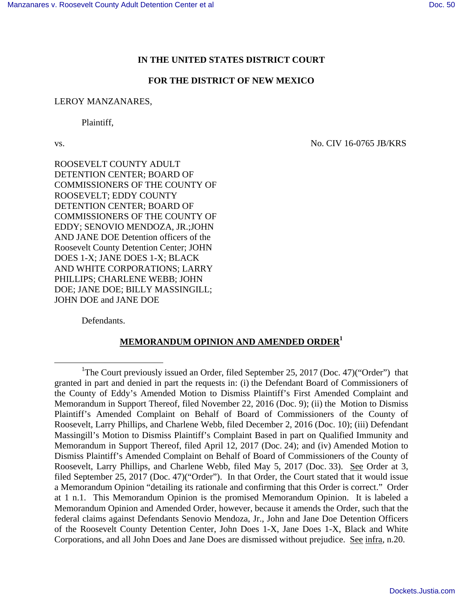## **IN THE UNITED STATES DISTRICT COURT**

### **FOR THE DISTRICT OF NEW MEXICO**

#### LEROY MANZANARES,

Plaintiff,

 $\overline{a}$ 

vs. No. CIV 16-0765 JB/KRS

ROOSEVELT COUNTY ADULT DETENTION CENTER; BOARD OF COMMISSIONERS OF THE COUNTY OF ROOSEVELT; EDDY COUNTY DETENTION CENTER; BOARD OF COMMISSIONERS OF THE COUNTY OF EDDY; SENOVIO MENDOZA, JR.;JOHN AND JANE DOE Detention officers of the Roosevelt County Detention Center; JOHN DOES 1-X; JANE DOES 1-X; BLACK AND WHITE CORPORATIONS; LARRY PHILLIPS; CHARLENE WEBB; JOHN DOE; JANE DOE; BILLY MASSINGILL; JOHN DOE and JANE DOE

Defendants.

# **MEMORANDUM OPINION AND AMENDED ORDER<sup>1</sup>**

<sup>&</sup>lt;sup>1</sup>The Court previously issued an Order, filed September 25, 2017 (Doc. 47)("Order") that granted in part and denied in part the requests in: (i) the Defendant Board of Commissioners of the County of Eddy's Amended Motion to Dismiss Plaintiff's First Amended Complaint and Memorandum in Support Thereof, filed November 22, 2016 (Doc. 9); (ii) the Motion to Dismiss Plaintiff's Amended Complaint on Behalf of Board of Commissioners of the County of Roosevelt, Larry Phillips, and Charlene Webb, filed December 2, 2016 (Doc. 10); (iii) Defendant Massingill's Motion to Dismiss Plaintiff's Complaint Based in part on Qualified Immunity and Memorandum in Support Thereof, filed April 12, 2017 (Doc. 24); and (iv) Amended Motion to Dismiss Plaintiff's Amended Complaint on Behalf of Board of Commissioners of the County of Roosevelt, Larry Phillips, and Charlene Webb, filed May 5, 2017 (Doc. 33). See Order at 3, filed September 25, 2017 (Doc. 47)("Order"). In that Order, the Court stated that it would issue a Memorandum Opinion "detailing its rationale and confirming that this Order is correct." Order at 1 n.1. This Memorandum Opinion is the promised Memorandum Opinion. It is labeled a Memorandum Opinion and Amended Order, however, because it amends the Order, such that the federal claims against Defendants Senovio Mendoza, Jr., John and Jane Doe Detention Officers of the Roosevelt County Detention Center, John Does 1-X, Jane Does 1-X, Black and White Corporations, and all John Does and Jane Does are dismissed without prejudice. See infra, n.20.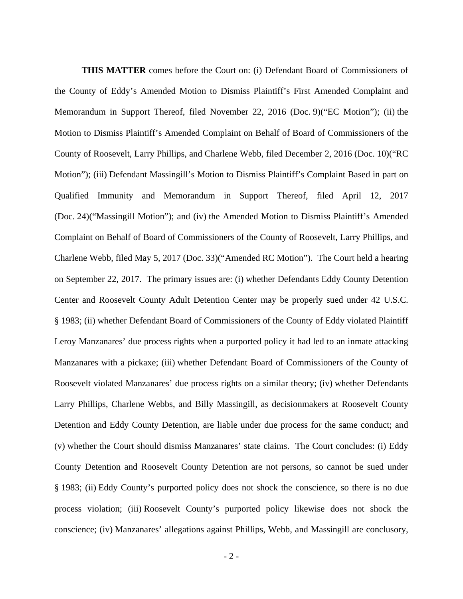**THIS MATTER** comes before the Court on: (i) Defendant Board of Commissioners of the County of Eddy's Amended Motion to Dismiss Plaintiff's First Amended Complaint and Memorandum in Support Thereof, filed November 22, 2016 (Doc. 9)("EC Motion"); (ii) the Motion to Dismiss Plaintiff's Amended Complaint on Behalf of Board of Commissioners of the County of Roosevelt, Larry Phillips, and Charlene Webb, filed December 2, 2016 (Doc. 10)("RC Motion"); (iii) Defendant Massingill's Motion to Dismiss Plaintiff's Complaint Based in part on Qualified Immunity and Memorandum in Support Thereof, filed April 12, 2017 (Doc. 24)("Massingill Motion"); and (iv) the Amended Motion to Dismiss Plaintiff's Amended Complaint on Behalf of Board of Commissioners of the County of Roosevelt, Larry Phillips, and Charlene Webb, filed May 5, 2017 (Doc. 33)("Amended RC Motion"). The Court held a hearing on September 22, 2017. The primary issues are: (i) whether Defendants Eddy County Detention Center and Roosevelt County Adult Detention Center may be properly sued under 42 U.S.C. § 1983; (ii) whether Defendant Board of Commissioners of the County of Eddy violated Plaintiff Leroy Manzanares' due process rights when a purported policy it had led to an inmate attacking Manzanares with a pickaxe; (iii) whether Defendant Board of Commissioners of the County of Roosevelt violated Manzanares' due process rights on a similar theory; (iv) whether Defendants Larry Phillips, Charlene Webbs, and Billy Massingill, as decisionmakers at Roosevelt County Detention and Eddy County Detention, are liable under due process for the same conduct; and (v) whether the Court should dismiss Manzanares' state claims. The Court concludes: (i) Eddy County Detention and Roosevelt County Detention are not persons, so cannot be sued under § 1983; (ii) Eddy County's purported policy does not shock the conscience, so there is no due process violation; (iii) Roosevelt County's purported policy likewise does not shock the conscience; (iv) Manzanares' allegations against Phillips, Webb, and Massingill are conclusory,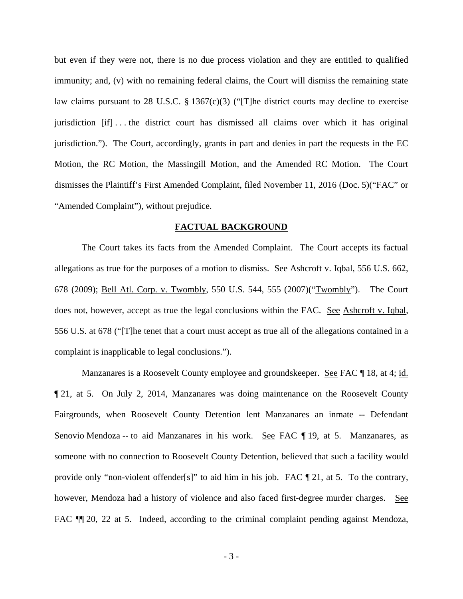but even if they were not, there is no due process violation and they are entitled to qualified immunity; and, (v) with no remaining federal claims, the Court will dismiss the remaining state law claims pursuant to 28 U.S.C. § 1367(c)(3) ("[T]he district courts may decline to exercise jurisdiction [if] . . . the district court has dismissed all claims over which it has original jurisdiction."). The Court, accordingly, grants in part and denies in part the requests in the EC Motion, the RC Motion, the Massingill Motion, and the Amended RC Motion. The Court dismisses the Plaintiff's First Amended Complaint, filed November 11, 2016 (Doc. 5)("FAC" or "Amended Complaint"), without prejudice.

#### **FACTUAL BACKGROUND**

 The Court takes its facts from the Amended Complaint. The Court accepts its factual allegations as true for the purposes of a motion to dismiss. See Ashcroft v. Iqbal, 556 U.S. 662, 678 (2009); Bell Atl. Corp. v. Twombly, 550 U.S. 544, 555 (2007)("Twombly"). The Court does not, however, accept as true the legal conclusions within the FAC. See Ashcroft v. Iqbal, 556 U.S. at 678 ("[T]he tenet that a court must accept as true all of the allegations contained in a complaint is inapplicable to legal conclusions.").

Manzanares is a Roosevelt County employee and groundskeeper. See FAC ¶ 18, at 4; id. ¶ 21, at 5. On July 2, 2014, Manzanares was doing maintenance on the Roosevelt County Fairgrounds, when Roosevelt County Detention lent Manzanares an inmate -- Defendant Senovio Mendoza -- to aid Manzanares in his work. See FAC ¶ 19, at 5. Manzanares, as someone with no connection to Roosevelt County Detention, believed that such a facility would provide only "non-violent offender[s]" to aid him in his job. FAC  $\P$  21, at 5. To the contrary, however, Mendoza had a history of violence and also faced first-degree murder charges. See FAC  $\P$  20, 22 at 5. Indeed, according to the criminal complaint pending against Mendoza,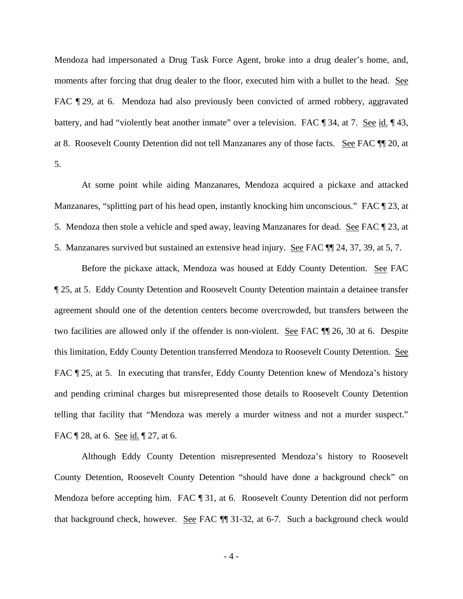Mendoza had impersonated a Drug Task Force Agent, broke into a drug dealer's home, and, moments after forcing that drug dealer to the floor, executed him with a bullet to the head. See FAC  $\P$  29, at 6. Mendoza had also previously been convicted of armed robbery, aggravated battery, and had "violently beat another inmate" over a television. FAC ¶ 34, at 7. See id. ¶ 43, at 8. Roosevelt County Detention did not tell Manzanares any of those facts. See FAC ¶¶ 20, at 5.

 At some point while aiding Manzanares, Mendoza acquired a pickaxe and attacked Manzanares, "splitting part of his head open, instantly knocking him unconscious." FAC [23, at 5. Mendoza then stole a vehicle and sped away, leaving Manzanares for dead. See FAC ¶ 23, at 5. Manzanares survived but sustained an extensive head injury. See FAC ¶¶ 24, 37, 39, at 5, 7.

Before the pickaxe attack, Mendoza was housed at Eddy County Detention. See FAC ¶ 25, at 5. Eddy County Detention and Roosevelt County Detention maintain a detainee transfer agreement should one of the detention centers become overcrowded, but transfers between the two facilities are allowed only if the offender is non-violent. See FAC ¶¶ 26, 30 at 6. Despite this limitation, Eddy County Detention transferred Mendoza to Roosevelt County Detention. See FAC  $\P$  25, at 5. In executing that transfer, Eddy County Detention knew of Mendoza's history and pending criminal charges but misrepresented those details to Roosevelt County Detention telling that facility that "Mendoza was merely a murder witness and not a murder suspect." FAC  $\mathbb{T}$  28, at 6. <u>See id.</u>  $\mathbb{T}$  27, at 6.

 Although Eddy County Detention misrepresented Mendoza's history to Roosevelt County Detention, Roosevelt County Detention "should have done a background check" on Mendoza before accepting him. FAC ¶ 31, at 6. Roosevelt County Detention did not perform that background check, however. See FAC ¶¶ 31-32, at 6-7. Such a background check would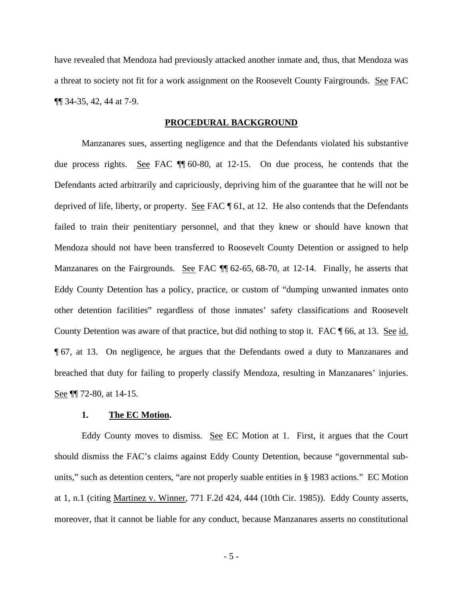have revealed that Mendoza had previously attacked another inmate and, thus, that Mendoza was a threat to society not fit for a work assignment on the Roosevelt County Fairgrounds. See FAC ¶¶ 34-35, 42, 44 at 7-9.

### **PROCEDURAL BACKGROUND**

 Manzanares sues, asserting negligence and that the Defendants violated his substantive due process rights. See FAC ¶¶ 60-80, at 12-15. On due process, he contends that the Defendants acted arbitrarily and capriciously, depriving him of the guarantee that he will not be deprived of life, liberty, or property. See FAC ¶ 61, at 12. He also contends that the Defendants failed to train their penitentiary personnel, and that they knew or should have known that Mendoza should not have been transferred to Roosevelt County Detention or assigned to help Manzanares on the Fairgrounds. See FAC  $\P$  62-65, 68-70, at 12-14. Finally, he asserts that Eddy County Detention has a policy, practice, or custom of "dumping unwanted inmates onto other detention facilities" regardless of those inmates' safety classifications and Roosevelt County Detention was aware of that practice, but did nothing to stop it. FAC \, 66, at 13. See id. ¶ 67, at 13. On negligence, he argues that the Defendants owed a duty to Manzanares and breached that duty for failing to properly classify Mendoza, resulting in Manzanares' injuries. See **[1]** 72-80, at 14-15.

#### **1. The EC Motion.**

Eddy County moves to dismiss. See EC Motion at 1. First, it argues that the Court should dismiss the FAC's claims against Eddy County Detention, because "governmental subunits," such as detention centers, "are not properly suable entities in § 1983 actions." EC Motion at 1, n.1 (citing Martinez v. Winner, 771 F.2d 424, 444 (10th Cir. 1985)). Eddy County asserts, moreover, that it cannot be liable for any conduct, because Manzanares asserts no constitutional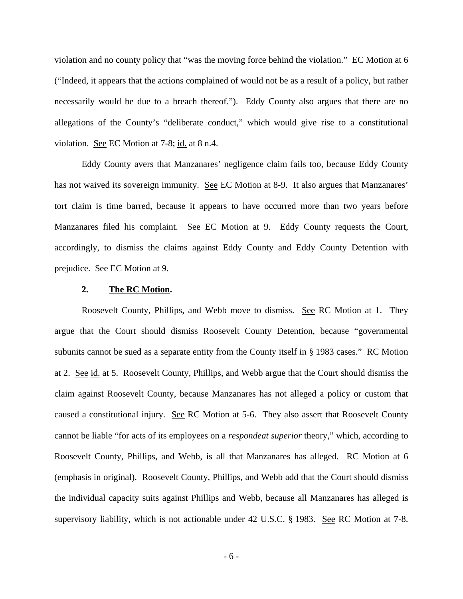violation and no county policy that "was the moving force behind the violation." EC Motion at 6 ("Indeed, it appears that the actions complained of would not be as a result of a policy, but rather necessarily would be due to a breach thereof."). Eddy County also argues that there are no allegations of the County's "deliberate conduct," which would give rise to a constitutional violation. See EC Motion at 7-8; id. at 8 n.4.

 Eddy County avers that Manzanares' negligence claim fails too, because Eddy County has not waived its sovereign immunity. See EC Motion at 8-9. It also argues that Manzanares' tort claim is time barred, because it appears to have occurred more than two years before Manzanares filed his complaint. See EC Motion at 9. Eddy County requests the Court, accordingly, to dismiss the claims against Eddy County and Eddy County Detention with prejudice. See EC Motion at 9.

#### **2. The RC Motion.**

Roosevelt County, Phillips, and Webb move to dismiss. See RC Motion at 1. They argue that the Court should dismiss Roosevelt County Detention, because "governmental subunits cannot be sued as a separate entity from the County itself in § 1983 cases." RC Motion at 2. See id. at 5. Roosevelt County, Phillips, and Webb argue that the Court should dismiss the claim against Roosevelt County, because Manzanares has not alleged a policy or custom that caused a constitutional injury. See RC Motion at 5-6. They also assert that Roosevelt County cannot be liable "for acts of its employees on a *respondeat superior* theory," which, according to Roosevelt County, Phillips, and Webb, is all that Manzanares has alleged. RC Motion at 6 (emphasis in original). Roosevelt County, Phillips, and Webb add that the Court should dismiss the individual capacity suits against Phillips and Webb, because all Manzanares has alleged is supervisory liability, which is not actionable under 42 U.S.C. § 1983. See RC Motion at 7-8.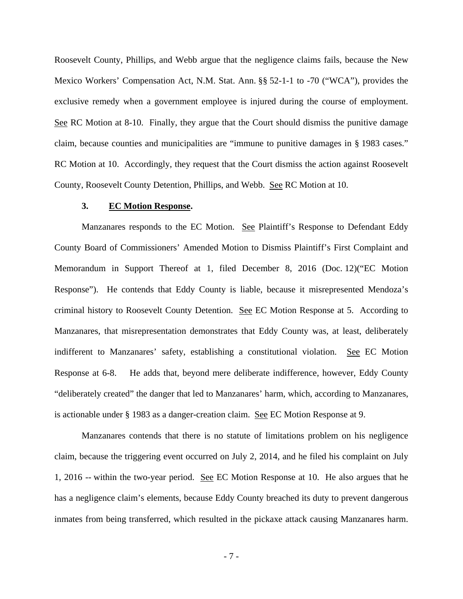Roosevelt County, Phillips, and Webb argue that the negligence claims fails, because the New Mexico Workers' Compensation Act, N.M. Stat. Ann. §§ 52-1-1 to -70 ("WCA"), provides the exclusive remedy when a government employee is injured during the course of employment. See RC Motion at 8-10. Finally, they argue that the Court should dismiss the punitive damage claim, because counties and municipalities are "immune to punitive damages in § 1983 cases." RC Motion at 10. Accordingly, they request that the Court dismiss the action against Roosevelt County, Roosevelt County Detention, Phillips, and Webb. See RC Motion at 10.

### **3. EC Motion Response.**

Manzanares responds to the EC Motion. See Plaintiff's Response to Defendant Eddy County Board of Commissioners' Amended Motion to Dismiss Plaintiff's First Complaint and Memorandum in Support Thereof at 1, filed December 8, 2016 (Doc. 12)("EC Motion Response"). He contends that Eddy County is liable, because it misrepresented Mendoza's criminal history to Roosevelt County Detention. See EC Motion Response at 5. According to Manzanares, that misrepresentation demonstrates that Eddy County was, at least, deliberately indifferent to Manzanares' safety, establishing a constitutional violation. See EC Motion Response at 6-8. He adds that, beyond mere deliberate indifference, however, Eddy County "deliberately created" the danger that led to Manzanares' harm, which, according to Manzanares, is actionable under § 1983 as a danger-creation claim. See EC Motion Response at 9.

Manzanares contends that there is no statute of limitations problem on his negligence claim, because the triggering event occurred on July 2, 2014, and he filed his complaint on July 1, 2016 -- within the two-year period. See EC Motion Response at 10. He also argues that he has a negligence claim's elements, because Eddy County breached its duty to prevent dangerous inmates from being transferred, which resulted in the pickaxe attack causing Manzanares harm.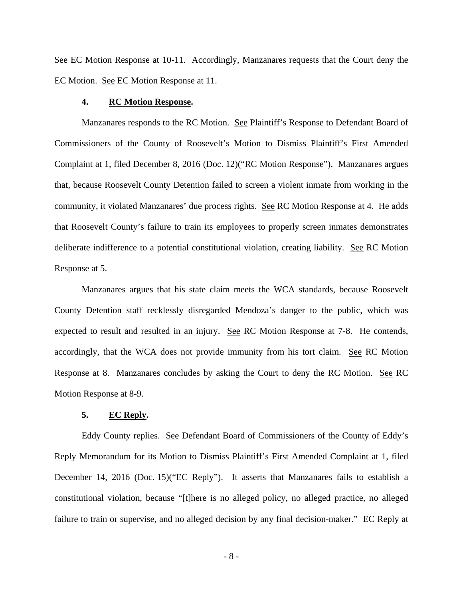See EC Motion Response at 10-11. Accordingly, Manzanares requests that the Court deny the EC Motion. See EC Motion Response at 11.

### **4. RC Motion Response.**

Manzanares responds to the RC Motion. See Plaintiff's Response to Defendant Board of Commissioners of the County of Roosevelt's Motion to Dismiss Plaintiff's First Amended Complaint at 1, filed December 8, 2016 (Doc. 12)("RC Motion Response"). Manzanares argues that, because Roosevelt County Detention failed to screen a violent inmate from working in the community, it violated Manzanares' due process rights. See RC Motion Response at 4. He adds that Roosevelt County's failure to train its employees to properly screen inmates demonstrates deliberate indifference to a potential constitutional violation, creating liability. See RC Motion Response at 5.

Manzanares argues that his state claim meets the WCA standards, because Roosevelt County Detention staff recklessly disregarded Mendoza's danger to the public, which was expected to result and resulted in an injury. See RC Motion Response at 7-8. He contends, accordingly, that the WCA does not provide immunity from his tort claim. See RC Motion Response at 8. Manzanares concludes by asking the Court to deny the RC Motion. See RC Motion Response at 8-9.

## **5. EC Reply.**

Eddy County replies. See Defendant Board of Commissioners of the County of Eddy's Reply Memorandum for its Motion to Dismiss Plaintiff's First Amended Complaint at 1, filed December 14, 2016 (Doc. 15)("EC Reply"). It asserts that Manzanares fails to establish a constitutional violation, because "[t]here is no alleged policy, no alleged practice, no alleged failure to train or supervise, and no alleged decision by any final decision-maker." EC Reply at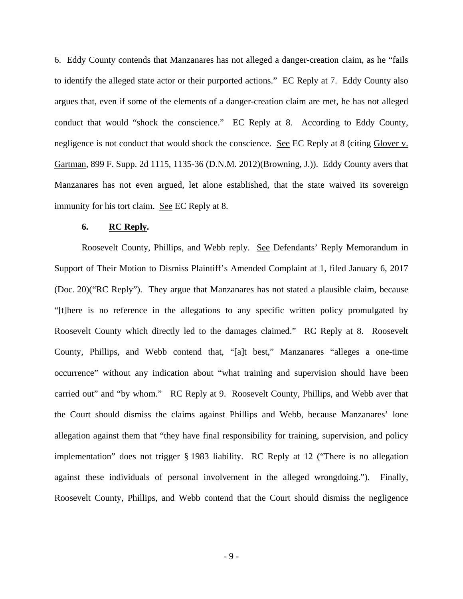6. Eddy County contends that Manzanares has not alleged a danger-creation claim, as he "fails to identify the alleged state actor or their purported actions." EC Reply at 7. Eddy County also argues that, even if some of the elements of a danger-creation claim are met, he has not alleged conduct that would "shock the conscience." EC Reply at 8. According to Eddy County, negligence is not conduct that would shock the conscience. See EC Reply at 8 (citing Glover v. Gartman, 899 F. Supp. 2d 1115, 1135-36 (D.N.M. 2012)(Browning, J.)). Eddy County avers that Manzanares has not even argued, let alone established, that the state waived its sovereign immunity for his tort claim. See EC Reply at 8.

### **6. RC Reply.**

Roosevelt County, Phillips, and Webb reply. See Defendants' Reply Memorandum in Support of Their Motion to Dismiss Plaintiff's Amended Complaint at 1, filed January 6, 2017 (Doc. 20)("RC Reply"). They argue that Manzanares has not stated a plausible claim, because "[t]here is no reference in the allegations to any specific written policy promulgated by Roosevelt County which directly led to the damages claimed." RC Reply at 8. Roosevelt County, Phillips, and Webb contend that, "[a]t best," Manzanares "alleges a one-time occurrence" without any indication about "what training and supervision should have been carried out" and "by whom." RC Reply at 9. Roosevelt County, Phillips, and Webb aver that the Court should dismiss the claims against Phillips and Webb, because Manzanares' lone allegation against them that "they have final responsibility for training, supervision, and policy implementation" does not trigger § 1983 liability. RC Reply at 12 ("There is no allegation against these individuals of personal involvement in the alleged wrongdoing."). Finally, Roosevelt County, Phillips, and Webb contend that the Court should dismiss the negligence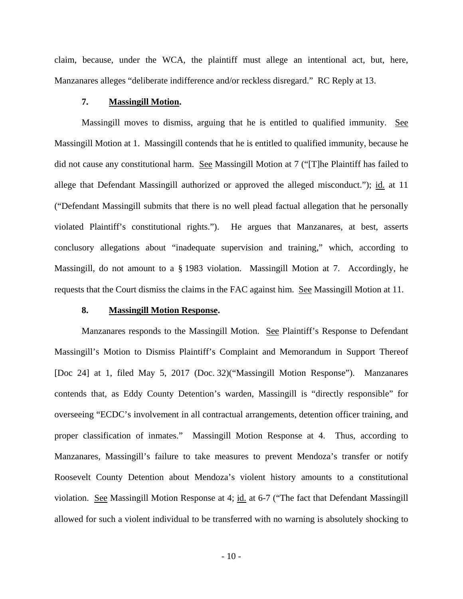claim, because, under the WCA, the plaintiff must allege an intentional act, but, here, Manzanares alleges "deliberate indifference and/or reckless disregard." RC Reply at 13.

### **7. Massingill Motion.**

Massingill moves to dismiss, arguing that he is entitled to qualified immunity. See Massingill Motion at 1. Massingill contends that he is entitled to qualified immunity, because he did not cause any constitutional harm. See Massingill Motion at 7 ("[T]he Plaintiff has failed to allege that Defendant Massingill authorized or approved the alleged misconduct."); id. at 11 ("Defendant Massingill submits that there is no well plead factual allegation that he personally violated Plaintiff's constitutional rights."). He argues that Manzanares, at best, asserts conclusory allegations about "inadequate supervision and training," which, according to Massingill, do not amount to a § 1983 violation. Massingill Motion at 7. Accordingly, he requests that the Court dismiss the claims in the FAC against him. See Massingill Motion at 11.

#### **8. Massingill Motion Response.**

Manzanares responds to the Massingill Motion. See Plaintiff's Response to Defendant Massingill's Motion to Dismiss Plaintiff's Complaint and Memorandum in Support Thereof [Doc 24] at 1, filed May 5, 2017 (Doc. 32)("Massingill Motion Response"). Manzanares contends that, as Eddy County Detention's warden, Massingill is "directly responsible" for overseeing "ECDC's involvement in all contractual arrangements, detention officer training, and proper classification of inmates." Massingill Motion Response at 4. Thus, according to Manzanares, Massingill's failure to take measures to prevent Mendoza's transfer or notify Roosevelt County Detention about Mendoza's violent history amounts to a constitutional violation. See Massingill Motion Response at 4; id. at 6-7 ("The fact that Defendant Massingill allowed for such a violent individual to be transferred with no warning is absolutely shocking to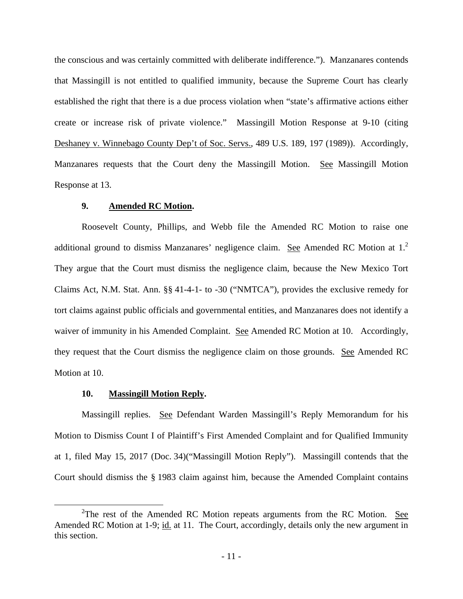the conscious and was certainly committed with deliberate indifference."). Manzanares contends that Massingill is not entitled to qualified immunity, because the Supreme Court has clearly established the right that there is a due process violation when "state's affirmative actions either create or increase risk of private violence." Massingill Motion Response at 9-10 (citing Deshaney v. Winnebago County Dep't of Soc. Servs., 489 U.S. 189, 197 (1989)). Accordingly, Manzanares requests that the Court deny the Massingill Motion. See Massingill Motion Response at 13.

### **9. Amended RC Motion.**

Roosevelt County, Phillips, and Webb file the Amended RC Motion to raise one additional ground to dismiss Manzanares' negligence claim. See Amended RC Motion at  $1<sup>2</sup>$ They argue that the Court must dismiss the negligence claim, because the New Mexico Tort Claims Act, N.M. Stat. Ann. §§ 41-4-1- to -30 ("NMTCA"), provides the exclusive remedy for tort claims against public officials and governmental entities, and Manzanares does not identify a waiver of immunity in his Amended Complaint. See Amended RC Motion at 10. Accordingly, they request that the Court dismiss the negligence claim on those grounds. See Amended RC Motion at 10.

#### **10. Massingill Motion Reply.**

 $\overline{a}$ 

Massingill replies. See Defendant Warden Massingill's Reply Memorandum for his Motion to Dismiss Count I of Plaintiff's First Amended Complaint and for Qualified Immunity at 1, filed May 15, 2017 (Doc. 34)("Massingill Motion Reply"). Massingill contends that the Court should dismiss the § 1983 claim against him, because the Amended Complaint contains

<sup>&</sup>lt;sup>2</sup>The rest of the Amended RC Motion repeats arguments from the RC Motion. See Amended RC Motion at 1-9; id. at 11. The Court, accordingly, details only the new argument in this section.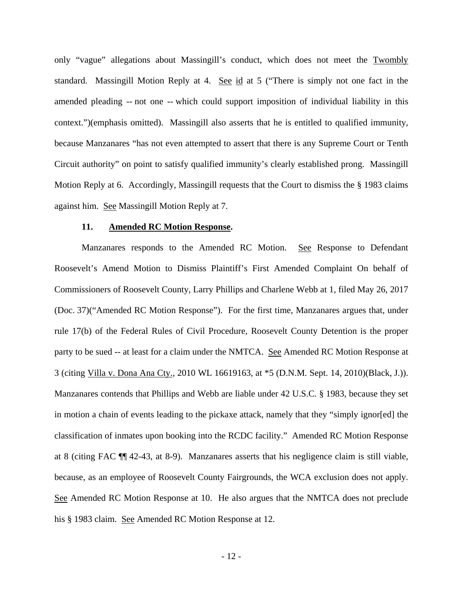only "vague" allegations about Massingill's conduct, which does not meet the Twombly standard. Massingill Motion Reply at 4. See id at 5 ("There is simply not one fact in the amended pleading -- not one -- which could support imposition of individual liability in this context.")(emphasis omitted). Massingill also asserts that he is entitled to qualified immunity, because Manzanares "has not even attempted to assert that there is any Supreme Court or Tenth Circuit authority" on point to satisfy qualified immunity's clearly established prong. Massingill Motion Reply at 6. Accordingly, Massingill requests that the Court to dismiss the § 1983 claims against him. See Massingill Motion Reply at 7.

### **11. Amended RC Motion Response.**

Manzanares responds to the Amended RC Motion. See Response to Defendant Roosevelt's Amend Motion to Dismiss Plaintiff's First Amended Complaint On behalf of Commissioners of Roosevelt County, Larry Phillips and Charlene Webb at 1, filed May 26, 2017 (Doc. 37)("Amended RC Motion Response"). For the first time, Manzanares argues that, under rule 17(b) of the Federal Rules of Civil Procedure, Roosevelt County Detention is the proper party to be sued -- at least for a claim under the NMTCA. See Amended RC Motion Response at 3 (citing Villa v. Dona Ana Cty., 2010 WL 16619163, at \*5 (D.N.M. Sept. 14, 2010)(Black, J.)). Manzanares contends that Phillips and Webb are liable under 42 U.S.C. § 1983, because they set in motion a chain of events leading to the pickaxe attack, namely that they "simply ignor[ed] the classification of inmates upon booking into the RCDC facility." Amended RC Motion Response at 8 (citing FAC ¶¶ 42-43, at 8-9). Manzanares asserts that his negligence claim is still viable, because, as an employee of Roosevelt County Fairgrounds, the WCA exclusion does not apply. See Amended RC Motion Response at 10. He also argues that the NMTCA does not preclude his § 1983 claim. See Amended RC Motion Response at 12.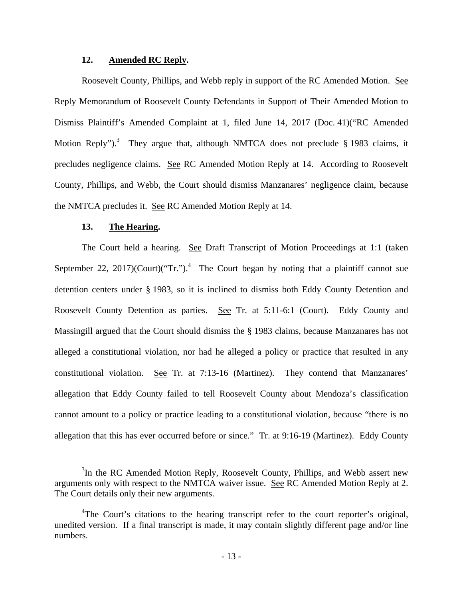## **12. Amended RC Reply.**

Roosevelt County, Phillips, and Webb reply in support of the RC Amended Motion. See Reply Memorandum of Roosevelt County Defendants in Support of Their Amended Motion to Dismiss Plaintiff's Amended Complaint at 1, filed June 14, 2017 (Doc. 41)("RC Amended Motion Reply").<sup>3</sup> They argue that, although NMTCA does not preclude  $\S$  1983 claims, it precludes negligence claims. See RC Amended Motion Reply at 14. According to Roosevelt County, Phillips, and Webb, the Court should dismiss Manzanares' negligence claim, because the NMTCA precludes it. See RC Amended Motion Reply at 14.

### **13. The Hearing.**

 $\overline{a}$ 

The Court held a hearing. See Draft Transcript of Motion Proceedings at 1:1 (taken September 22, 2017)(Court)("Tr.").<sup>4</sup> The Court began by noting that a plaintiff cannot sue detention centers under § 1983, so it is inclined to dismiss both Eddy County Detention and Roosevelt County Detention as parties. See Tr. at 5:11-6:1 (Court). Eddy County and Massingill argued that the Court should dismiss the § 1983 claims, because Manzanares has not alleged a constitutional violation, nor had he alleged a policy or practice that resulted in any constitutional violation. See Tr. at 7:13-16 (Martinez). They contend that Manzanares' allegation that Eddy County failed to tell Roosevelt County about Mendoza's classification cannot amount to a policy or practice leading to a constitutional violation, because "there is no allegation that this has ever occurred before or since." Tr. at 9:16-19 (Martinez). Eddy County

<sup>&</sup>lt;sup>3</sup>In the RC Amended Motion Reply, Roosevelt County, Phillips, and Webb assert new arguments only with respect to the NMTCA waiver issue. See RC Amended Motion Reply at 2. The Court details only their new arguments.

<sup>&</sup>lt;sup>4</sup>The Court's citations to the hearing transcript refer to the court reporter's original, unedited version. If a final transcript is made, it may contain slightly different page and/or line numbers.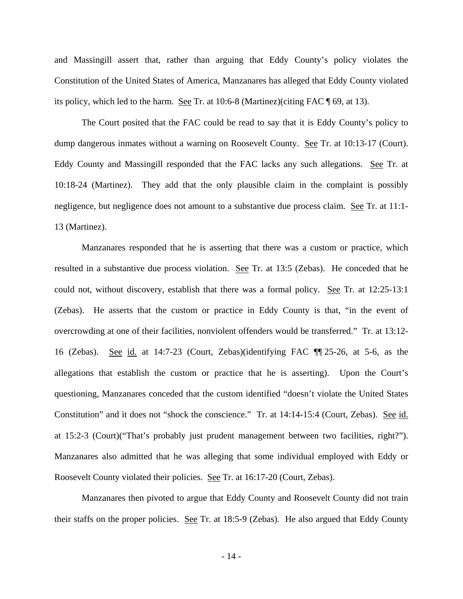and Massingill assert that, rather than arguing that Eddy County's policy violates the Constitution of the United States of America, Manzanares has alleged that Eddy County violated its policy, which led to the harm. See Tr. at 10:6-8 (Martinez)(citing FAC ¶ 69, at 13).

The Court posited that the FAC could be read to say that it is Eddy County's policy to dump dangerous inmates without a warning on Roosevelt County. See Tr. at 10:13-17 (Court). Eddy County and Massingill responded that the FAC lacks any such allegations. See Tr. at 10:18-24 (Martinez). They add that the only plausible claim in the complaint is possibly negligence, but negligence does not amount to a substantive due process claim. See Tr. at 11:1- 13 (Martinez).

Manzanares responded that he is asserting that there was a custom or practice, which resulted in a substantive due process violation. See Tr. at 13:5 (Zebas). He conceded that he could not, without discovery, establish that there was a formal policy. See Tr. at 12:25-13:1 (Zebas). He asserts that the custom or practice in Eddy County is that, "in the event of overcrowding at one of their facilities, nonviolent offenders would be transferred." Tr. at 13:12- 16 (Zebas). See id. at 14:7-23 (Court, Zebas)(identifying FAC ¶¶ 25-26, at 5-6, as the allegations that establish the custom or practice that he is asserting). Upon the Court's questioning, Manzanares conceded that the custom identified "doesn't violate the United States Constitution" and it does not "shock the conscience." Tr. at 14:14-15:4 (Court, Zebas). See id. at 15:2-3 (Court)("That's probably just prudent management between two facilities, right?"). Manzanares also admitted that he was alleging that some individual employed with Eddy or Roosevelt County violated their policies. See Tr. at 16:17-20 (Court, Zebas).

Manzanares then pivoted to argue that Eddy County and Roosevelt County did not train their staffs on the proper policies. See Tr. at 18:5-9 (Zebas). He also argued that Eddy County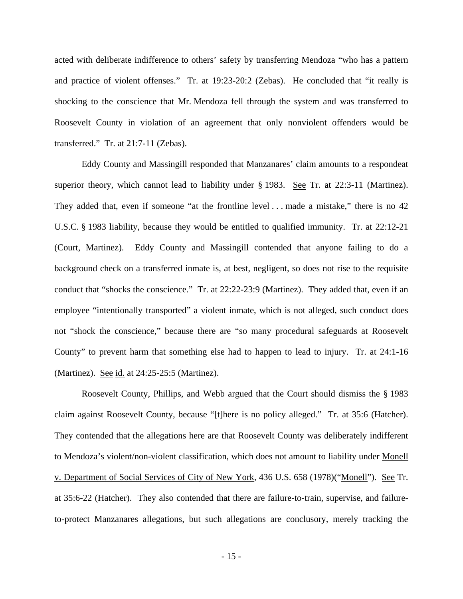acted with deliberate indifference to others' safety by transferring Mendoza "who has a pattern and practice of violent offenses." Tr. at 19:23-20:2 (Zebas). He concluded that "it really is shocking to the conscience that Mr. Mendoza fell through the system and was transferred to Roosevelt County in violation of an agreement that only nonviolent offenders would be transferred." Tr. at 21:7-11 (Zebas).

 Eddy County and Massingill responded that Manzanares' claim amounts to a respondeat superior theory, which cannot lead to liability under § 1983. See Tr. at 22:3-11 (Martinez). They added that, even if someone "at the frontline level ... made a mistake," there is no 42 U.S.C. § 1983 liability, because they would be entitled to qualified immunity. Tr. at 22:12-21 (Court, Martinez). Eddy County and Massingill contended that anyone failing to do a background check on a transferred inmate is, at best, negligent, so does not rise to the requisite conduct that "shocks the conscience." Tr. at 22:22-23:9 (Martinez). They added that, even if an employee "intentionally transported" a violent inmate, which is not alleged, such conduct does not "shock the conscience," because there are "so many procedural safeguards at Roosevelt County" to prevent harm that something else had to happen to lead to injury. Tr. at 24:1-16 (Martinez). See id. at 24:25-25:5 (Martinez).

 Roosevelt County, Phillips, and Webb argued that the Court should dismiss the § 1983 claim against Roosevelt County, because "[t]here is no policy alleged." Tr. at 35:6 (Hatcher). They contended that the allegations here are that Roosevelt County was deliberately indifferent to Mendoza's violent/non-violent classification, which does not amount to liability under Monell v. Department of Social Services of City of New York, 436 U.S. 658 (1978)("Monell"). See Tr. at 35:6-22 (Hatcher). They also contended that there are failure-to-train, supervise, and failureto-protect Manzanares allegations, but such allegations are conclusory, merely tracking the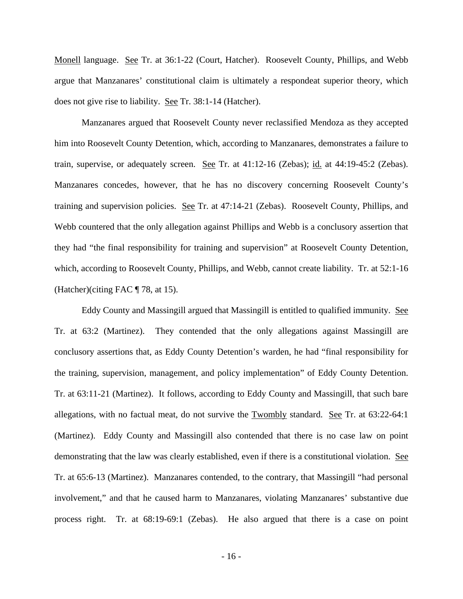Monell language. See Tr. at 36:1-22 (Court, Hatcher). Roosevelt County, Phillips, and Webb argue that Manzanares' constitutional claim is ultimately a respondeat superior theory, which does not give rise to liability. See Tr. 38:1-14 (Hatcher).

 Manzanares argued that Roosevelt County never reclassified Mendoza as they accepted him into Roosevelt County Detention, which, according to Manzanares, demonstrates a failure to train, supervise, or adequately screen. See Tr. at 41:12-16 (Zebas); id. at 44:19-45:2 (Zebas). Manzanares concedes, however, that he has no discovery concerning Roosevelt County's training and supervision policies. See Tr. at 47:14-21 (Zebas). Roosevelt County, Phillips, and Webb countered that the only allegation against Phillips and Webb is a conclusory assertion that they had "the final responsibility for training and supervision" at Roosevelt County Detention, which, according to Roosevelt County, Phillips, and Webb, cannot create liability. Tr. at 52:1-16 (Hatcher)(citing FAC ¶ 78, at 15).

 Eddy County and Massingill argued that Massingill is entitled to qualified immunity. See Tr. at 63:2 (Martinez). They contended that the only allegations against Massingill are conclusory assertions that, as Eddy County Detention's warden, he had "final responsibility for the training, supervision, management, and policy implementation" of Eddy County Detention. Tr. at 63:11-21 (Martinez). It follows, according to Eddy County and Massingill, that such bare allegations, with no factual meat, do not survive the Twombly standard. See Tr. at 63:22-64:1 (Martinez). Eddy County and Massingill also contended that there is no case law on point demonstrating that the law was clearly established, even if there is a constitutional violation. See Tr. at 65:6-13 (Martinez). Manzanares contended, to the contrary, that Massingill "had personal involvement," and that he caused harm to Manzanares, violating Manzanares' substantive due process right. Tr. at 68:19-69:1 (Zebas). He also argued that there is a case on point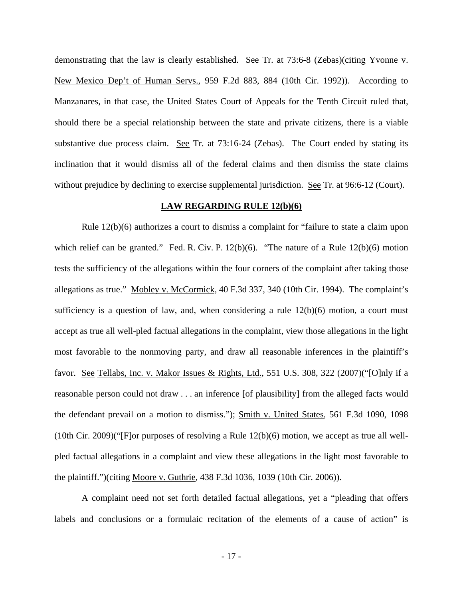demonstrating that the law is clearly established. See Tr. at 73:6-8 (Zebas)(citing Yvonne v. New Mexico Dep't of Human Servs., 959 F.2d 883, 884 (10th Cir. 1992)). According to Manzanares, in that case, the United States Court of Appeals for the Tenth Circuit ruled that, should there be a special relationship between the state and private citizens, there is a viable substantive due process claim. See Tr. at 73:16-24 (Zebas). The Court ended by stating its inclination that it would dismiss all of the federal claims and then dismiss the state claims without prejudice by declining to exercise supplemental jurisdiction. See Tr. at 96:6-12 (Court).

### **LAW REGARDING RULE 12(b)(6)**

 Rule 12(b)(6) authorizes a court to dismiss a complaint for "failure to state a claim upon which relief can be granted." Fed. R. Civ. P. 12(b)(6). "The nature of a Rule 12(b)(6) motion tests the sufficiency of the allegations within the four corners of the complaint after taking those allegations as true." Mobley v. McCormick, 40 F.3d 337, 340 (10th Cir. 1994). The complaint's sufficiency is a question of law, and, when considering a rule  $12(b)(6)$  motion, a court must accept as true all well-pled factual allegations in the complaint, view those allegations in the light most favorable to the nonmoving party, and draw all reasonable inferences in the plaintiff's favor. See Tellabs, Inc. v. Makor Issues & Rights, Ltd., 551 U.S. 308, 322 (2007)("[O]nly if a reasonable person could not draw . . . an inference [of plausibility] from the alleged facts would the defendant prevail on a motion to dismiss."); Smith v. United States, 561 F.3d 1090, 1098 (10th Cir. 2009)("[F]or purposes of resolving a Rule 12(b)(6) motion, we accept as true all wellpled factual allegations in a complaint and view these allegations in the light most favorable to the plaintiff.")(citing Moore v. Guthrie, 438 F.3d 1036, 1039 (10th Cir. 2006)).

A complaint need not set forth detailed factual allegations, yet a "pleading that offers labels and conclusions or a formulaic recitation of the elements of a cause of action" is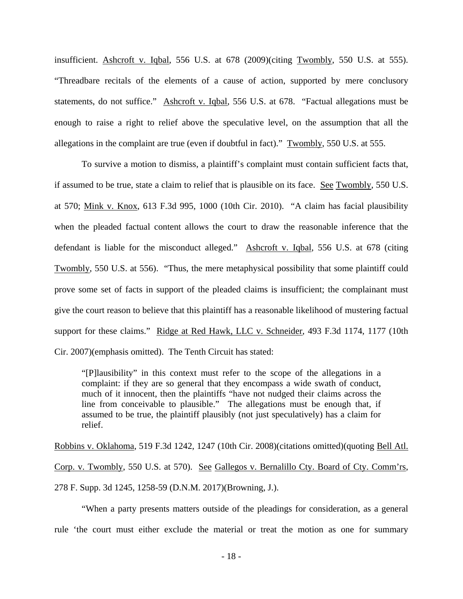insufficient. Ashcroft v. Iqbal, 556 U.S. at 678 (2009)(citing Twombly, 550 U.S. at 555). "Threadbare recitals of the elements of a cause of action, supported by mere conclusory statements, do not suffice." Ashcroft v. Iqbal, 556 U.S. at 678. "Factual allegations must be enough to raise a right to relief above the speculative level, on the assumption that all the allegations in the complaint are true (even if doubtful in fact)." Twombly, 550 U.S. at 555.

To survive a motion to dismiss, a plaintiff's complaint must contain sufficient facts that, if assumed to be true, state a claim to relief that is plausible on its face. See Twombly, 550 U.S. at 570; Mink v. Knox, 613 F.3d 995, 1000 (10th Cir. 2010). "A claim has facial plausibility when the pleaded factual content allows the court to draw the reasonable inference that the defendant is liable for the misconduct alleged." Ashcroft v. Iqbal, 556 U.S. at 678 (citing Twombly, 550 U.S. at 556). "Thus, the mere metaphysical possibility that some plaintiff could prove some set of facts in support of the pleaded claims is insufficient; the complainant must give the court reason to believe that this plaintiff has a reasonable likelihood of mustering factual support for these claims." Ridge at Red Hawk, LLC v. Schneider, 493 F.3d 1174, 1177 (10th Cir. 2007)(emphasis omitted). The Tenth Circuit has stated:

"[P]lausibility" in this context must refer to the scope of the allegations in a complaint: if they are so general that they encompass a wide swath of conduct, much of it innocent, then the plaintiffs "have not nudged their claims across the line from conceivable to plausible." The allegations must be enough that, if assumed to be true, the plaintiff plausibly (not just speculatively) has a claim for relief.

Robbins v. Oklahoma, 519 F.3d 1242, 1247 (10th Cir. 2008)(citations omitted)(quoting Bell Atl. Corp. v. Twombly, 550 U.S. at 570). See Gallegos v. Bernalillo Cty. Board of Cty. Comm'rs, 278 F. Supp. 3d 1245, 1258-59 (D.N.M. 2017)(Browning, J.).

 "When a party presents matters outside of the pleadings for consideration, as a general rule 'the court must either exclude the material or treat the motion as one for summary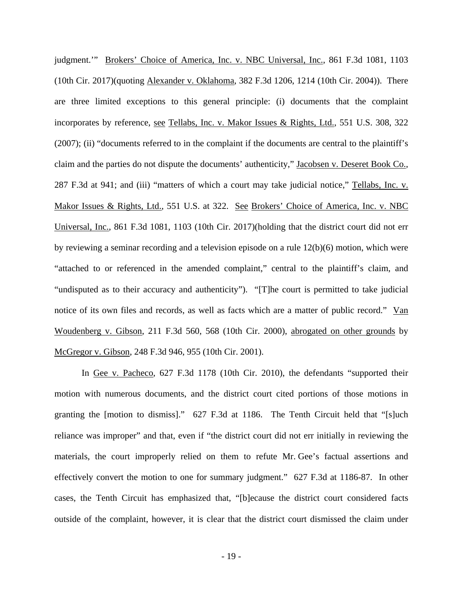judgment.'" Brokers' Choice of America, Inc. v. NBC Universal, Inc., 861 F.3d 1081, 1103 (10th Cir. 2017)(quoting Alexander v. Oklahoma, 382 F.3d 1206, 1214 (10th Cir. 2004)). There are three limited exceptions to this general principle: (i) documents that the complaint incorporates by reference, see Tellabs, Inc. v. Makor Issues & Rights, Ltd., 551 U.S. 308, 322 (2007); (ii) "documents referred to in the complaint if the documents are central to the plaintiff's claim and the parties do not dispute the documents' authenticity," Jacobsen v. Deseret Book Co., 287 F.3d at 941; and (iii) "matters of which a court may take judicial notice," Tellabs, Inc. v. Makor Issues & Rights, Ltd., 551 U.S. at 322. See Brokers' Choice of America, Inc. v. NBC Universal, Inc., 861 F.3d 1081, 1103 (10th Cir. 2017)(holding that the district court did not err by reviewing a seminar recording and a television episode on a rule 12(b)(6) motion, which were "attached to or referenced in the amended complaint," central to the plaintiff's claim, and "undisputed as to their accuracy and authenticity"). "[T]he court is permitted to take judicial notice of its own files and records, as well as facts which are a matter of public record." Van Woudenberg v. Gibson, 211 F.3d 560, 568 (10th Cir. 2000), abrogated on other grounds by McGregor v. Gibson, 248 F.3d 946, 955 (10th Cir. 2001).

In Gee v. Pacheco, 627 F.3d 1178 (10th Cir. 2010), the defendants "supported their motion with numerous documents, and the district court cited portions of those motions in granting the [motion to dismiss]." 627 F.3d at 1186. The Tenth Circuit held that "[s]uch reliance was improper" and that, even if "the district court did not err initially in reviewing the materials, the court improperly relied on them to refute Mr. Gee's factual assertions and effectively convert the motion to one for summary judgment." 627 F.3d at 1186-87. In other cases, the Tenth Circuit has emphasized that, "[b]ecause the district court considered facts outside of the complaint, however, it is clear that the district court dismissed the claim under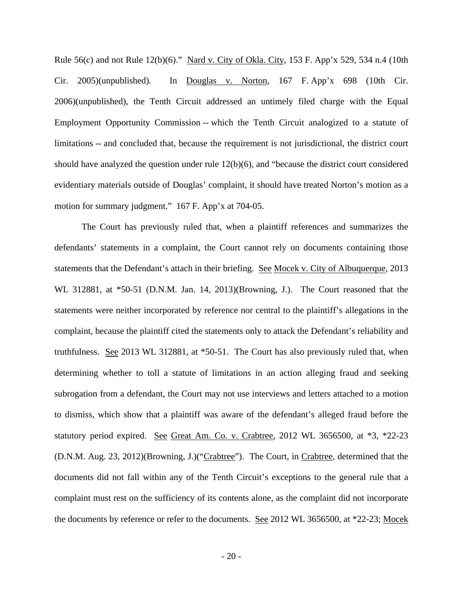Rule 56(c) and not Rule 12(b)(6)." Nard v. City of Okla. City, 153 F. App'x 529, 534 n.4 (10th Cir. 2005)(unpublished). In Douglas v. Norton, 167 F. App'x 698 (10th Cir. 2006)(unpublished), the Tenth Circuit addressed an untimely filed charge with the Equal Employment Opportunity Commission -- which the Tenth Circuit analogized to a statute of limitations -- and concluded that, because the requirement is not jurisdictional, the district court should have analyzed the question under rule 12(b)(6), and "because the district court considered evidentiary materials outside of Douglas' complaint, it should have treated Norton's motion as a motion for summary judgment." 167 F. App'x at 704-05.

The Court has previously ruled that, when a plaintiff references and summarizes the defendants' statements in a complaint, the Court cannot rely on documents containing those statements that the Defendant's attach in their briefing. See Mocek v. City of Albuquerque, 2013 WL 312881, at \*50-51 (D.N.M. Jan. 14, 2013)(Browning, J.). The Court reasoned that the statements were neither incorporated by reference nor central to the plaintiff's allegations in the complaint, because the plaintiff cited the statements only to attack the Defendant's reliability and truthfulness. See 2013 WL 312881, at \*50-51. The Court has also previously ruled that, when determining whether to toll a statute of limitations in an action alleging fraud and seeking subrogation from a defendant, the Court may not use interviews and letters attached to a motion to dismiss, which show that a plaintiff was aware of the defendant's alleged fraud before the statutory period expired. See Great Am. Co. v. Crabtree, 2012 WL 3656500, at \*3, \*22-23 (D.N.M. Aug. 23, 2012)(Browning, J.)("Crabtree"). The Court, in Crabtree, determined that the documents did not fall within any of the Tenth Circuit's exceptions to the general rule that a complaint must rest on the sufficiency of its contents alone, as the complaint did not incorporate the documents by reference or refer to the documents. See 2012 WL 3656500, at \*22-23; Mocek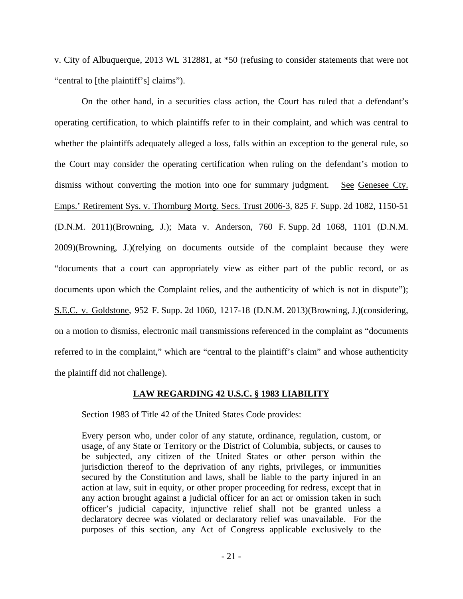v. City of Albuquerque, 2013 WL 312881, at \*50 (refusing to consider statements that were not "central to [the plaintiff's] claims").

On the other hand, in a securities class action, the Court has ruled that a defendant's operating certification, to which plaintiffs refer to in their complaint, and which was central to whether the plaintiffs adequately alleged a loss, falls within an exception to the general rule, so the Court may consider the operating certification when ruling on the defendant's motion to dismiss without converting the motion into one for summary judgment. See Genesee Cty. Emps.' Retirement Sys. v. Thornburg Mortg. Secs. Trust 2006-3, 825 F. Supp. 2d 1082, 1150-51 (D.N.M. 2011)(Browning, J.); Mata v. Anderson, 760 F. Supp. 2d 1068, 1101 (D.N.M. 2009)(Browning, J.)(relying on documents outside of the complaint because they were "documents that a court can appropriately view as either part of the public record, or as documents upon which the Complaint relies, and the authenticity of which is not in dispute"); S.E.C. v. Goldstone, 952 F. Supp. 2d 1060, 1217-18 (D.N.M. 2013)(Browning, J.)(considering, on a motion to dismiss, electronic mail transmissions referenced in the complaint as "documents referred to in the complaint," which are "central to the plaintiff's claim" and whose authenticity the plaintiff did not challenge).

### **LAW REGARDING 42 U.S.C. § 1983 LIABILITY**

Section 1983 of Title 42 of the United States Code provides:

Every person who, under color of any statute, ordinance, regulation, custom, or usage, of any State or Territory or the District of Columbia, subjects, or causes to be subjected, any citizen of the United States or other person within the jurisdiction thereof to the deprivation of any rights, privileges, or immunities secured by the Constitution and laws, shall be liable to the party injured in an action at law, suit in equity, or other proper proceeding for redress, except that in any action brought against a judicial officer for an act or omission taken in such officer's judicial capacity, injunctive relief shall not be granted unless a declaratory decree was violated or declaratory relief was unavailable. For the purposes of this section, any Act of Congress applicable exclusively to the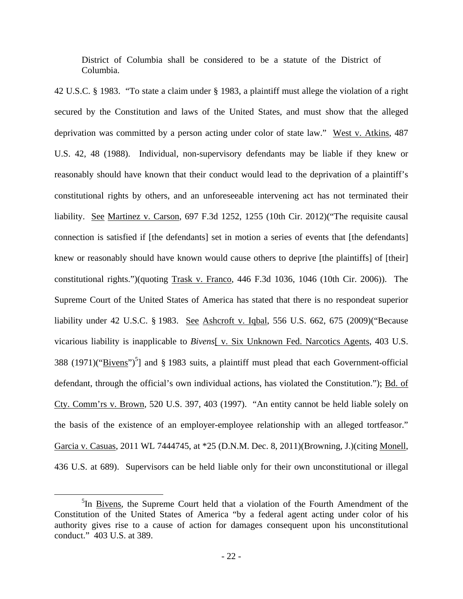District of Columbia shall be considered to be a statute of the District of Columbia.

42 U.S.C. § 1983. "To state a claim under § 1983, a plaintiff must allege the violation of a right secured by the Constitution and laws of the United States, and must show that the alleged deprivation was committed by a person acting under color of state law." West v. Atkins, 487 U.S. 42, 48 (1988). Individual, non-supervisory defendants may be liable if they knew or reasonably should have known that their conduct would lead to the deprivation of a plaintiff's constitutional rights by others, and an unforeseeable intervening act has not terminated their liability. See Martinez v. Carson, 697 F.3d 1252, 1255 (10th Cir. 2012)("The requisite causal connection is satisfied if [the defendants] set in motion a series of events that [the defendants] knew or reasonably should have known would cause others to deprive [the plaintiffs] of [their] constitutional rights.")(quoting Trask v. Franco, 446 F.3d 1036, 1046 (10th Cir. 2006)). The Supreme Court of the United States of America has stated that there is no respondeat superior liability under 42 U.S.C. § 1983. See Ashcroft v. Iqbal, 556 U.S. 662, 675 (2009)("Because vicarious liability is inapplicable to *Bivens*[ v. Six Unknown Fed. Narcotics Agents, 403 U.S. 388 (1971)(" $Bivens$ ")<sup>5</sup>] and § 1983 suits, a plaintiff must plead that each Government-official defendant, through the official's own individual actions, has violated the Constitution."); Bd. of Cty. Comm'rs v. Brown, 520 U.S. 397, 403 (1997). "An entity cannot be held liable solely on the basis of the existence of an employer-employee relationship with an alleged tortfeasor." Garcia v. Casuas, 2011 WL 7444745, at \*25 (D.N.M. Dec. 8, 2011)(Browning, J.)(citing Monell, 436 U.S. at 689). Supervisors can be held liable only for their own unconstitutional or illegal

<sup>&</sup>lt;sup>5</sup>In <u>Bivens</u>, the Supreme Court held that a violation of the Fourth Amendment of the Constitution of the United States of America "by a federal agent acting under color of his authority gives rise to a cause of action for damages consequent upon his unconstitutional conduct." 403 U.S. at 389.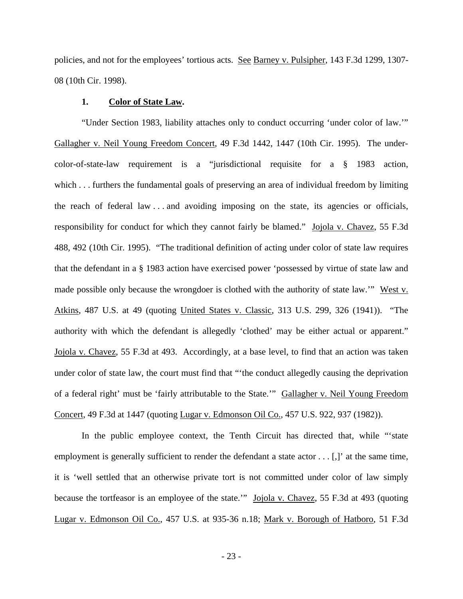policies, and not for the employees' tortious acts. See Barney v. Pulsipher, 143 F.3d 1299, 1307- 08 (10th Cir. 1998).

### **1. Color of State Law.**

"Under Section 1983, liability attaches only to conduct occurring 'under color of law.'" Gallagher v. Neil Young Freedom Concert, 49 F.3d 1442, 1447 (10th Cir. 1995). The undercolor-of-state-law requirement is a "jurisdictional requisite for a § 1983 action, which . . . furthers the fundamental goals of preserving an area of individual freedom by limiting the reach of federal law . . . and avoiding imposing on the state, its agencies or officials, responsibility for conduct for which they cannot fairly be blamed." Jojola v. Chavez, 55 F.3d 488, 492 (10th Cir. 1995). "The traditional definition of acting under color of state law requires that the defendant in a § 1983 action have exercised power 'possessed by virtue of state law and made possible only because the wrongdoer is clothed with the authority of state law.'" West v. Atkins, 487 U.S. at 49 (quoting United States v. Classic, 313 U.S. 299, 326 (1941)). "The authority with which the defendant is allegedly 'clothed' may be either actual or apparent." Jojola v. Chavez, 55 F.3d at 493. Accordingly, at a base level, to find that an action was taken under color of state law, the court must find that "'the conduct allegedly causing the deprivation of a federal right' must be 'fairly attributable to the State.'" Gallagher v. Neil Young Freedom Concert, 49 F.3d at 1447 (quoting Lugar v. Edmonson Oil Co., 457 U.S. 922, 937 (1982)).

In the public employee context, the Tenth Circuit has directed that, while "'state employment is generally sufficient to render the defendant a state actor . . . [,]' at the same time, it is 'well settled that an otherwise private tort is not committed under color of law simply because the tortfeasor is an employee of the state.'" Jojola v. Chavez, 55 F.3d at 493 (quoting Lugar v. Edmonson Oil Co., 457 U.S. at 935-36 n.18; Mark v. Borough of Hatboro, 51 F.3d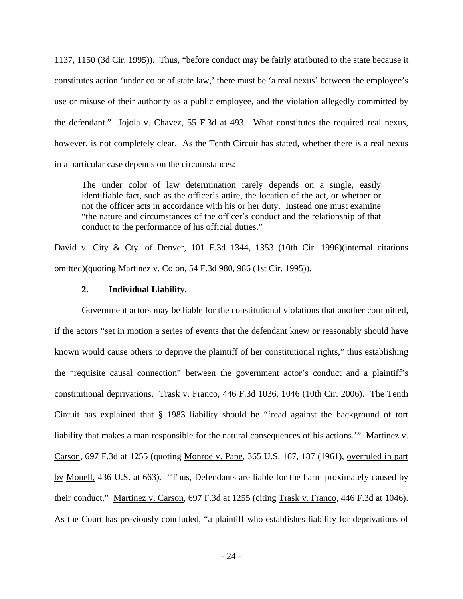1137, 1150 (3d Cir. 1995)). Thus, "before conduct may be fairly attributed to the state because it constitutes action 'under color of state law,' there must be 'a real nexus' between the employee's use or misuse of their authority as a public employee, and the violation allegedly committed by the defendant." Jojola v. Chavez, 55 F.3d at 493. What constitutes the required real nexus, however, is not completely clear. As the Tenth Circuit has stated, whether there is a real nexus in a particular case depends on the circumstances:

The under color of law determination rarely depends on a single, easily identifiable fact, such as the officer's attire, the location of the act, or whether or not the officer acts in accordance with his or her duty. Instead one must examine "the nature and circumstances of the officer's conduct and the relationship of that conduct to the performance of his official duties."

David v. City & Cty. of Denver, 101 F.3d 1344, 1353 (10th Cir. 1996)(internal citations omitted)(quoting Martinez v. Colon, 54 F.3d 980, 986 (1st Cir. 1995)).

## **2. Individual Liability.**

Government actors may be liable for the constitutional violations that another committed, if the actors "set in motion a series of events that the defendant knew or reasonably should have known would cause others to deprive the plaintiff of her constitutional rights," thus establishing the "requisite causal connection" between the government actor's conduct and a plaintiff's constitutional deprivations. Trask v. Franco, 446 F.3d 1036, 1046 (10th Cir. 2006). The Tenth Circuit has explained that § 1983 liability should be "'read against the background of tort liability that makes a man responsible for the natural consequences of his actions." Martinez v. Carson, 697 F.3d at 1255 (quoting Monroe v. Pape, 365 U.S. 167, 187 (1961), overruled in part by Monell, 436 U.S. at 663). "Thus, Defendants are liable for the harm proximately caused by their conduct." Martinez v. Carson, 697 F.3d at 1255 (citing Trask v. Franco, 446 F.3d at 1046). As the Court has previously concluded, "a plaintiff who establishes liability for deprivations of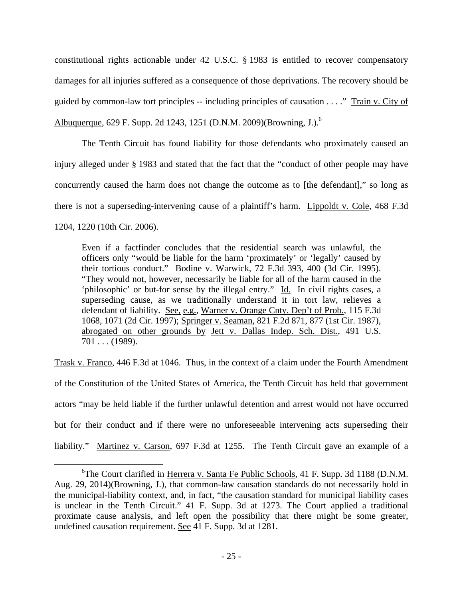constitutional rights actionable under 42 U.S.C. § 1983 is entitled to recover compensatory damages for all injuries suffered as a consequence of those deprivations. The recovery should be guided by common-law tort principles -- including principles of causation . . . ." Train v. City of Albuquerque, 629 F. Supp. 2d 1243, 1251 (D.N.M. 2009)(Browning, J.).<sup>6</sup>

The Tenth Circuit has found liability for those defendants who proximately caused an injury alleged under § 1983 and stated that the fact that the "conduct of other people may have concurrently caused the harm does not change the outcome as to [the defendant]," so long as there is not a superseding-intervening cause of a plaintiff's harm. Lippoldt v. Cole, 468 F.3d 1204, 1220 (10th Cir. 2006).

Even if a factfinder concludes that the residential search was unlawful, the officers only "would be liable for the harm 'proximately' or 'legally' caused by their tortious conduct." Bodine v. Warwick, 72 F.3d 393, 400 (3d Cir. 1995). "They would not, however, necessarily be liable for all of the harm caused in the 'philosophic' or but-for sense by the illegal entry." Id. In civil rights cases, a superseding cause, as we traditionally understand it in tort law, relieves a defendant of liability. See, e.g., Warner v. Orange Cnty. Dep't of Prob., 115 F.3d 1068, 1071 (2d Cir. 1997); Springer v. Seaman, 821 F.2d 871, 877 (1st Cir. 1987), abrogated on other grounds by Jett v. Dallas Indep. Sch. Dist., 491 U.S.  $701...$  (1989).

Trask v. Franco, 446 F.3d at 1046. Thus, in the context of a claim under the Fourth Amendment of the Constitution of the United States of America, the Tenth Circuit has held that government actors "may be held liable if the further unlawful detention and arrest would not have occurred but for their conduct and if there were no unforeseeable intervening acts superseding their liability." Martinez v. Carson, 697 F.3d at 1255. The Tenth Circuit gave an example of a

<sup>&</sup>lt;sup>6</sup>The Court clarified in Herrera v. Santa Fe Public Schools, 41 F. Supp. 3d 1188 (D.N.M. Aug. 29, 2014)(Browning, J.), that common-law causation standards do not necessarily hold in the municipal-liability context, and, in fact, "the causation standard for municipal liability cases is unclear in the Tenth Circuit." 41 F. Supp. 3d at 1273. The Court applied a traditional proximate cause analysis, and left open the possibility that there might be some greater, undefined causation requirement. See 41 F. Supp. 3d at 1281.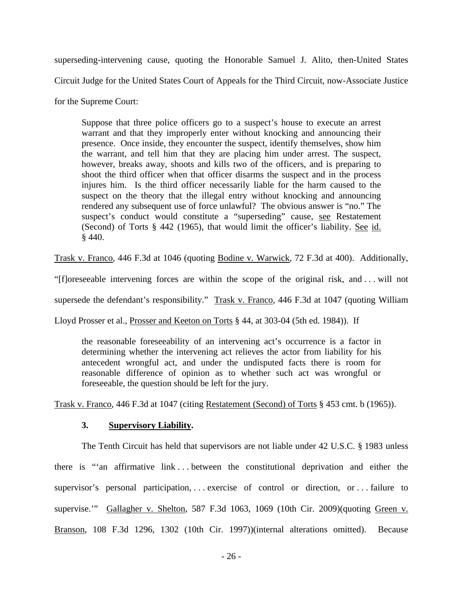superseding-intervening cause, quoting the Honorable Samuel J. Alito, then-United States Circuit Judge for the United States Court of Appeals for the Third Circuit, now-Associate Justice

for the Supreme Court:

Suppose that three police officers go to a suspect's house to execute an arrest warrant and that they improperly enter without knocking and announcing their presence. Once inside, they encounter the suspect, identify themselves, show him the warrant, and tell him that they are placing him under arrest. The suspect, however, breaks away, shoots and kills two of the officers, and is preparing to shoot the third officer when that officer disarms the suspect and in the process injures him. Is the third officer necessarily liable for the harm caused to the suspect on the theory that the illegal entry without knocking and announcing rendered any subsequent use of force unlawful? The obvious answer is "no." The suspect's conduct would constitute a "superseding" cause, see Restatement (Second) of Torts § 442 (1965), that would limit the officer's liability. See id. § 440.

Trask v. Franco, 446 F.3d at 1046 (quoting Bodine v. Warwick, 72 F.3d at 400). Additionally,

"[f]oreseeable intervening forces are within the scope of the original risk, and . . . will not

supersede the defendant's responsibility." Trask v. Franco, 446 F.3d at 1047 (quoting William

Lloyd Prosser et al., Prosser and Keeton on Torts § 44, at 303-04 (5th ed. 1984)). If

the reasonable foreseeability of an intervening act's occurrence is a factor in determining whether the intervening act relieves the actor from liability for his antecedent wrongful act, and under the undisputed facts there is room for reasonable difference of opinion as to whether such act was wrongful or foreseeable, the question should be left for the jury.

Trask v. Franco, 446 F.3d at 1047 (citing Restatement (Second) of Torts § 453 cmt. b (1965)).

## **3. Supervisory Liability.**

 The Tenth Circuit has held that supervisors are not liable under 42 U.S.C. § 1983 unless there is "'an affirmative link . . . between the constitutional deprivation and either the supervisor's personal participation, ... exercise of control or direction, or ... failure to supervise." Gallagher v. Shelton, 587 F.3d 1063, 1069 (10th Cir. 2009)(quoting Green v. Branson, 108 F.3d 1296, 1302 (10th Cir. 1997))(internal alterations omitted). Because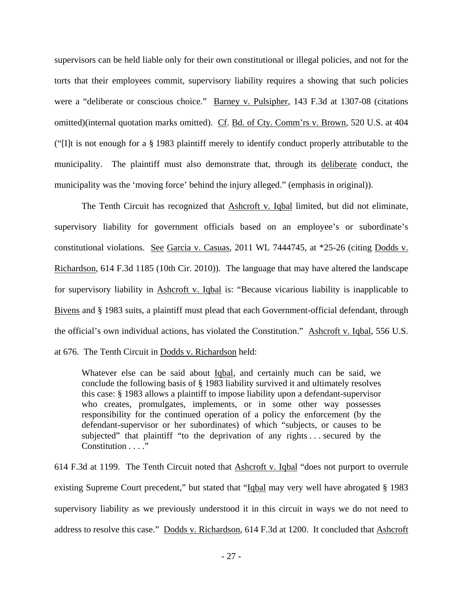supervisors can be held liable only for their own constitutional or illegal policies, and not for the torts that their employees commit, supervisory liability requires a showing that such policies were a "deliberate or conscious choice." Barney v. Pulsipher, 143 F.3d at 1307-08 (citations omitted)(internal quotation marks omitted). Cf. Bd. of Cty. Comm'rs v. Brown, 520 U.S. at 404 ("[I]t is not enough for a § 1983 plaintiff merely to identify conduct properly attributable to the municipality. The plaintiff must also demonstrate that, through its deliberate conduct, the municipality was the 'moving force' behind the injury alleged." (emphasis in original)).

 The Tenth Circuit has recognized that Ashcroft v. Iqbal limited, but did not eliminate, supervisory liability for government officials based on an employee's or subordinate's constitutional violations. See Garcia v. Casuas, 2011 WL 7444745, at \*25-26 (citing Dodds v. Richardson, 614 F.3d 1185 (10th Cir. 2010)). The language that may have altered the landscape for supervisory liability in **Ashcroft v. Iqbal** is: "Because vicarious liability is inapplicable to Bivens and § 1983 suits, a plaintiff must plead that each Government-official defendant, through the official's own individual actions, has violated the Constitution." Ashcroft v. Iqbal, 556 U.S. at 676. The Tenth Circuit in Dodds v. Richardson held:

Whatever else can be said about Iqbal, and certainly much can be said, we conclude the following basis of § 1983 liability survived it and ultimately resolves this case: § 1983 allows a plaintiff to impose liability upon a defendant-supervisor who creates, promulgates, implements, or in some other way possesses responsibility for the continued operation of a policy the enforcement (by the defendant-supervisor or her subordinates) of which "subjects, or causes to be subjected" that plaintiff "to the deprivation of any rights . . . secured by the Constitution  $\ldots$  .

614 F.3d at 1199. The Tenth Circuit noted that Ashcroft v. Iqbal "does not purport to overrule existing Supreme Court precedent," but stated that "Igbal may very well have abrogated § 1983 supervisory liability as we previously understood it in this circuit in ways we do not need to address to resolve this case." Dodds v. Richardson, 614 F.3d at 1200. It concluded that Ashcroft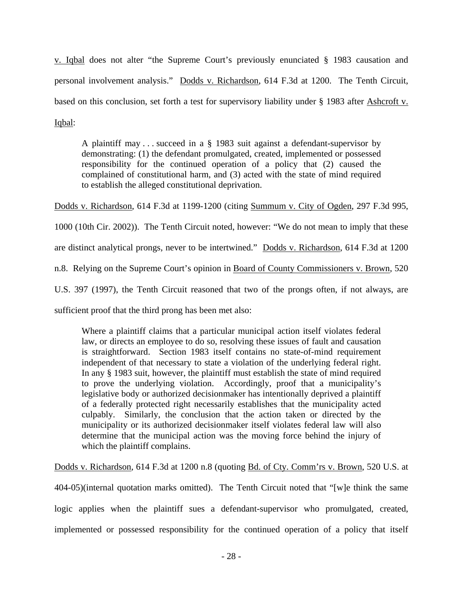v. Iqbal does not alter "the Supreme Court's previously enunciated § 1983 causation and personal involvement analysis." Dodds v. Richardson, 614 F.3d at 1200. The Tenth Circuit, based on this conclusion, set forth a test for supervisory liability under § 1983 after Ashcroft v. Iqbal:

A plaintiff may . . . succeed in a § 1983 suit against a defendant-supervisor by demonstrating: (1) the defendant promulgated, created, implemented or possessed responsibility for the continued operation of a policy that (2) caused the complained of constitutional harm, and (3) acted with the state of mind required to establish the alleged constitutional deprivation.

Dodds v. Richardson, 614 F.3d at 1199-1200 (citing Summum v. City of Ogden, 297 F.3d 995,

1000 (10th Cir. 2002)). The Tenth Circuit noted, however: "We do not mean to imply that these

are distinct analytical prongs, never to be intertwined." Dodds v. Richardson, 614 F.3d at 1200

n.8. Relying on the Supreme Court's opinion in Board of County Commissioners v. Brown, 520

U.S. 397 (1997), the Tenth Circuit reasoned that two of the prongs often, if not always, are

sufficient proof that the third prong has been met also:

Where a plaintiff claims that a particular municipal action itself violates federal law, or directs an employee to do so, resolving these issues of fault and causation is straightforward. Section 1983 itself contains no state-of-mind requirement independent of that necessary to state a violation of the underlying federal right. In any § 1983 suit, however, the plaintiff must establish the state of mind required to prove the underlying violation. Accordingly, proof that a municipality's legislative body or authorized decisionmaker has intentionally deprived a plaintiff of a federally protected right necessarily establishes that the municipality acted culpably. Similarly, the conclusion that the action taken or directed by the municipality or its authorized decisionmaker itself violates federal law will also determine that the municipal action was the moving force behind the injury of which the plaintiff complains.

Dodds v. Richardson, 614 F.3d at 1200 n.8 (quoting Bd. of Cty. Comm'rs v. Brown, 520 U.S. at

404-05)(internal quotation marks omitted). The Tenth Circuit noted that "[w]e think the same logic applies when the plaintiff sues a defendant-supervisor who promulgated, created, implemented or possessed responsibility for the continued operation of a policy that itself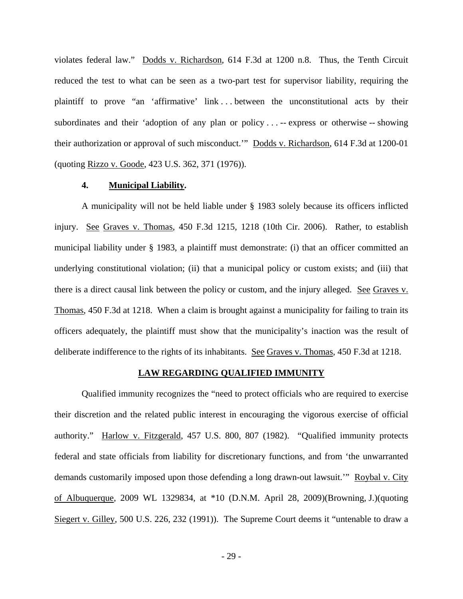violates federal law." Dodds v. Richardson, 614 F.3d at 1200 n.8. Thus, the Tenth Circuit reduced the test to what can be seen as a two-part test for supervisor liability, requiring the plaintiff to prove "an 'affirmative' link . . . between the unconstitutional acts by their subordinates and their 'adoption of any plan or policy . . . -- express or otherwise -- showing their authorization or approval of such misconduct.'" Dodds v. Richardson, 614 F.3d at 1200-01 (quoting Rizzo v. Goode, 423 U.S. 362, 371 (1976)).

### **4. Municipal Liability.**

 A municipality will not be held liable under § 1983 solely because its officers inflicted injury. See Graves v. Thomas, 450 F.3d 1215, 1218 (10th Cir. 2006). Rather, to establish municipal liability under § 1983, a plaintiff must demonstrate: (i) that an officer committed an underlying constitutional violation; (ii) that a municipal policy or custom exists; and (iii) that there is a direct causal link between the policy or custom, and the injury alleged. See Graves v. Thomas, 450 F.3d at 1218. When a claim is brought against a municipality for failing to train its officers adequately, the plaintiff must show that the municipality's inaction was the result of deliberate indifference to the rights of its inhabitants. See Graves v. Thomas, 450 F.3d at 1218.

#### **LAW REGARDING QUALIFIED IMMUNITY**

Qualified immunity recognizes the "need to protect officials who are required to exercise their discretion and the related public interest in encouraging the vigorous exercise of official authority." Harlow v. Fitzgerald, 457 U.S. 800, 807 (1982). "Qualified immunity protects federal and state officials from liability for discretionary functions, and from 'the unwarranted demands customarily imposed upon those defending a long drawn-out lawsuit.'" Roybal v. City of Albuquerque, 2009 WL 1329834, at \*10 (D.N.M. April 28, 2009)(Browning, J.)(quoting Siegert v. Gilley, 500 U.S. 226, 232 (1991)). The Supreme Court deems it "untenable to draw a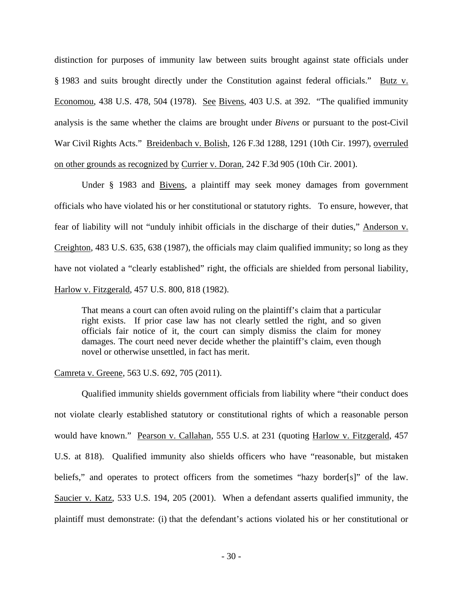distinction for purposes of immunity law between suits brought against state officials under § 1983 and suits brought directly under the Constitution against federal officials." Butz v. Economou, 438 U.S. 478, 504 (1978). See Bivens, 403 U.S. at 392. "The qualified immunity analysis is the same whether the claims are brought under *Bivens* or pursuant to the post-Civil War Civil Rights Acts." Breidenbach v. Bolish, 126 F.3d 1288, 1291 (10th Cir. 1997), overruled on other grounds as recognized by Currier v. Doran, 242 F.3d 905 (10th Cir. 2001).

Under § 1983 and Bivens, a plaintiff may seek money damages from government officials who have violated his or her constitutional or statutory rights. To ensure, however, that fear of liability will not "unduly inhibit officials in the discharge of their duties," Anderson v. Creighton, 483 U.S. 635, 638 (1987), the officials may claim qualified immunity; so long as they have not violated a "clearly established" right, the officials are shielded from personal liability, Harlow v. Fitzgerald, 457 U.S. 800, 818 (1982).

That means a court can often avoid ruling on the plaintiff's claim that a particular right exists. If prior case law has not clearly settled the right, and so given officials fair notice of it, the court can simply dismiss the claim for money damages. The court need never decide whether the plaintiff's claim, even though novel or otherwise unsettled, in fact has merit.

#### Camreta v. Greene, 563 U.S. 692, 705 (2011).

Qualified immunity shields government officials from liability where "their conduct does not violate clearly established statutory or constitutional rights of which a reasonable person would have known." Pearson v. Callahan, 555 U.S. at 231 (quoting Harlow v. Fitzgerald, 457 U.S. at 818). Qualified immunity also shields officers who have "reasonable, but mistaken beliefs," and operates to protect officers from the sometimes "hazy border[s]" of the law. Saucier v. Katz, 533 U.S. 194, 205 (2001). When a defendant asserts qualified immunity, the plaintiff must demonstrate: (i) that the defendant's actions violated his or her constitutional or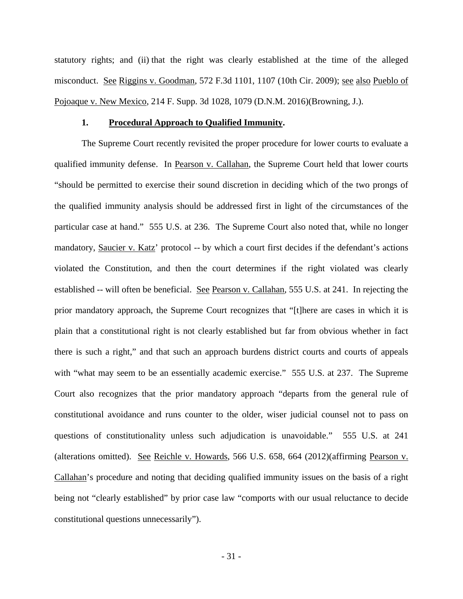statutory rights; and (ii) that the right was clearly established at the time of the alleged misconduct. See Riggins v. Goodman, 572 F.3d 1101, 1107 (10th Cir. 2009); see also Pueblo of Pojoaque v. New Mexico, 214 F. Supp. 3d 1028, 1079 (D.N.M. 2016)(Browning, J.).

### **1. Procedural Approach to Qualified Immunity.**

The Supreme Court recently revisited the proper procedure for lower courts to evaluate a qualified immunity defense. In Pearson v. Callahan, the Supreme Court held that lower courts "should be permitted to exercise their sound discretion in deciding which of the two prongs of the qualified immunity analysis should be addressed first in light of the circumstances of the particular case at hand." 555 U.S. at 236. The Supreme Court also noted that, while no longer mandatory, Saucier v. Katz' protocol -- by which a court first decides if the defendant's actions violated the Constitution, and then the court determines if the right violated was clearly established -- will often be beneficial. See Pearson v. Callahan, 555 U.S. at 241. In rejecting the prior mandatory approach, the Supreme Court recognizes that "[t]here are cases in which it is plain that a constitutional right is not clearly established but far from obvious whether in fact there is such a right," and that such an approach burdens district courts and courts of appeals with "what may seem to be an essentially academic exercise." 555 U.S. at 237. The Supreme Court also recognizes that the prior mandatory approach "departs from the general rule of constitutional avoidance and runs counter to the older, wiser judicial counsel not to pass on questions of constitutionality unless such adjudication is unavoidable." 555 U.S. at 241 (alterations omitted). See Reichle v. Howards, 566 U.S. 658, 664 (2012)(affirming Pearson v. Callahan's procedure and noting that deciding qualified immunity issues on the basis of a right being not "clearly established" by prior case law "comports with our usual reluctance to decide constitutional questions unnecessarily").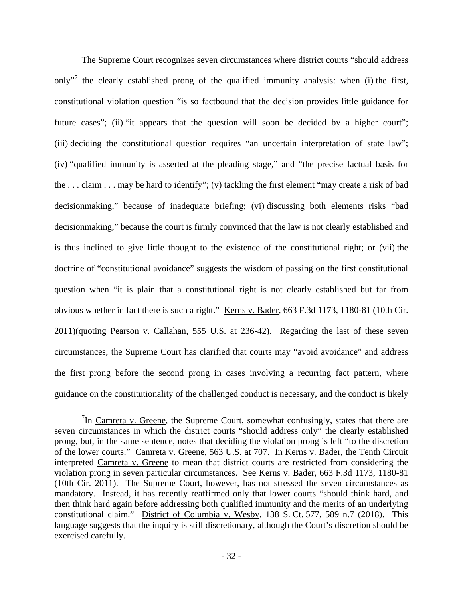The Supreme Court recognizes seven circumstances where district courts "should address only"<sup>7</sup> the clearly established prong of the qualified immunity analysis: when (i) the first, constitutional violation question "is so factbound that the decision provides little guidance for future cases"; (ii) "it appears that the question will soon be decided by a higher court"; (iii) deciding the constitutional question requires "an uncertain interpretation of state law"; (iv) "qualified immunity is asserted at the pleading stage," and "the precise factual basis for the . . . claim . . . may be hard to identify"; (v) tackling the first element "may create a risk of bad decisionmaking," because of inadequate briefing; (vi) discussing both elements risks "bad decisionmaking," because the court is firmly convinced that the law is not clearly established and is thus inclined to give little thought to the existence of the constitutional right; or (vii) the doctrine of "constitutional avoidance" suggests the wisdom of passing on the first constitutional question when "it is plain that a constitutional right is not clearly established but far from obvious whether in fact there is such a right." Kerns v. Bader, 663 F.3d 1173, 1180-81 (10th Cir. 2011)(quoting Pearson v. Callahan, 555 U.S. at 236-42). Regarding the last of these seven circumstances, the Supreme Court has clarified that courts may "avoid avoidance" and address the first prong before the second prong in cases involving a recurring fact pattern, where guidance on the constitutionality of the challenged conduct is necessary, and the conduct is likely

<sup>&</sup>lt;sup>7</sup>In Camreta v. Greene, the Supreme Court, somewhat confusingly, states that there are seven circumstances in which the district courts "should address only" the clearly established prong, but, in the same sentence, notes that deciding the violation prong is left "to the discretion of the lower courts." Camreta v. Greene, 563 U.S. at 707. In Kerns v. Bader, the Tenth Circuit interpreted Camreta v. Greene to mean that district courts are restricted from considering the violation prong in seven particular circumstances. See Kerns v. Bader, 663 F.3d 1173, 1180-81 (10th Cir. 2011). The Supreme Court, however, has not stressed the seven circumstances as mandatory. Instead, it has recently reaffirmed only that lower courts "should think hard, and then think hard again before addressing both qualified immunity and the merits of an underlying constitutional claim." District of Columbia v. Wesby, 138 S. Ct. 577, 589 n.7 (2018). This language suggests that the inquiry is still discretionary, although the Court's discretion should be exercised carefully.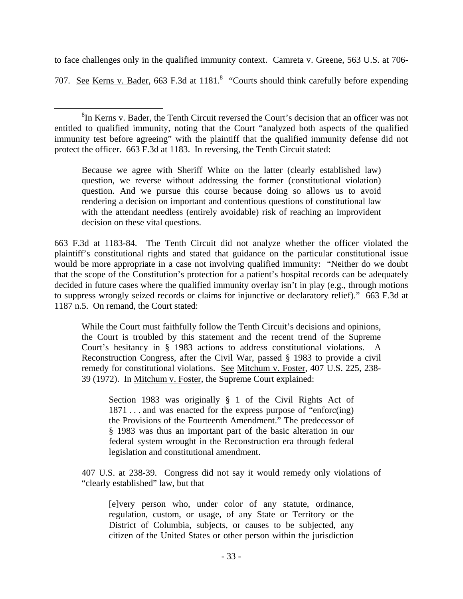to face challenges only in the qualified immunity context. Camreta v. Greene, 563 U.S. at 706- 707. See Kerns v. Bader, 663 F.3d at 1181.<sup>8</sup> "Courts should think carefully before expending

Because we agree with Sheriff White on the latter (clearly established law) question, we reverse without addressing the former (constitutional violation) question. And we pursue this course because doing so allows us to avoid rendering a decision on important and contentious questions of constitutional law with the attendant needless (entirely avoidable) risk of reaching an improvident decision on these vital questions.

663 F.3d at 1183-84. The Tenth Circuit did not analyze whether the officer violated the plaintiff's constitutional rights and stated that guidance on the particular constitutional issue would be more appropriate in a case not involving qualified immunity: "Neither do we doubt that the scope of the Constitution's protection for a patient's hospital records can be adequately decided in future cases where the qualified immunity overlay isn't in play (e.g., through motions to suppress wrongly seized records or claims for injunctive or declaratory relief)." 663 F.3d at 1187 n.5. On remand, the Court stated:

While the Court must faithfully follow the Tenth Circuit's decisions and opinions, the Court is troubled by this statement and the recent trend of the Supreme Court's hesitancy in § 1983 actions to address constitutional violations. A Reconstruction Congress, after the Civil War, passed § 1983 to provide a civil remedy for constitutional violations. See Mitchum v. Foster, 407 U.S. 225, 238- 39 (1972). In Mitchum v. Foster, the Supreme Court explained:

Section 1983 was originally § 1 of the Civil Rights Act of 1871 . . . and was enacted for the express purpose of "enforc(ing) the Provisions of the Fourteenth Amendment." The predecessor of § 1983 was thus an important part of the basic alteration in our federal system wrought in the Reconstruction era through federal legislation and constitutional amendment.

407 U.S. at 238-39. Congress did not say it would remedy only violations of "clearly established" law, but that

[e]very person who, under color of any statute, ordinance, regulation, custom, or usage, of any State or Territory or the District of Columbia, subjects, or causes to be subjected, any citizen of the United States or other person within the jurisdiction

 $\overline{a}$ <sup>8</sup>In <u>Kerns v. Bader,</u> the Tenth Circuit reversed the Court's decision that an officer was not entitled to qualified immunity, noting that the Court "analyzed both aspects of the qualified immunity test before agreeing" with the plaintiff that the qualified immunity defense did not protect the officer. 663 F.3d at 1183. In reversing, the Tenth Circuit stated: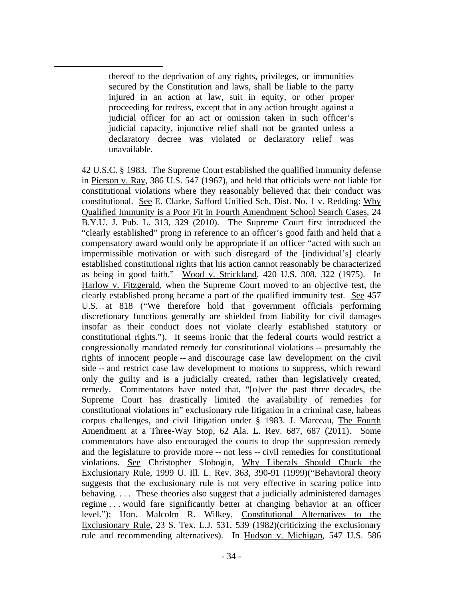thereof to the deprivation of any rights, privileges, or immunities secured by the Constitution and laws, shall be liable to the party injured in an action at law, suit in equity, or other proper proceeding for redress, except that in any action brought against a judicial officer for an act or omission taken in such officer's judicial capacity, injunctive relief shall not be granted unless a declaratory decree was violated or declaratory relief was unavailable.

 $\overline{a}$ 

42 U.S.C. § 1983. The Supreme Court established the qualified immunity defense in Pierson v. Ray, 386 U.S. 547 (1967), and held that officials were not liable for constitutional violations where they reasonably believed that their conduct was constitutional. See E. Clarke, Safford Unified Sch. Dist. No. 1 v. Redding: Why Qualified Immunity is a Poor Fit in Fourth Amendment School Search Cases, 24 B.Y.U. J. Pub. L. 313, 329 (2010). The Supreme Court first introduced the "clearly established" prong in reference to an officer's good faith and held that a compensatory award would only be appropriate if an officer "acted with such an impermissible motivation or with such disregard of the [individual's] clearly established constitutional rights that his action cannot reasonably be characterized as being in good faith." Wood v. Strickland, 420 U.S. 308, 322 (1975). In Harlow v. Fitzgerald, when the Supreme Court moved to an objective test, the clearly established prong became a part of the qualified immunity test. See 457 U.S. at 818 ("We therefore hold that government officials performing discretionary functions generally are shielded from liability for civil damages insofar as their conduct does not violate clearly established statutory or constitutional rights."). It seems ironic that the federal courts would restrict a congressionally mandated remedy for constitutional violations -- presumably the rights of innocent people -- and discourage case law development on the civil side -- and restrict case law development to motions to suppress, which reward only the guilty and is a judicially created, rather than legislatively created, remedy. Commentators have noted that, "[o]ver the past three decades, the Supreme Court has drastically limited the availability of remedies for constitutional violations in" exclusionary rule litigation in a criminal case, habeas corpus challenges, and civil litigation under § 1983. J. Marceau, The Fourth Amendment at a Three-Way Stop, 62 Ala. L. Rev. 687, 687 (2011). Some commentators have also encouraged the courts to drop the suppression remedy and the legislature to provide more -- not less -- civil remedies for constitutional violations. See Christopher Slobogin, Why Liberals Should Chuck the Exclusionary Rule, 1999 U. Ill. L. Rev. 363, 390-91 (1999)("Behavioral theory suggests that the exclusionary rule is not very effective in scaring police into behaving. . . . These theories also suggest that a judicially administered damages regime . . . would fare significantly better at changing behavior at an officer level."); Hon. Malcolm R. Wilkey, Constitutional Alternatives to the Exclusionary Rule, 23 S. Tex. L.J. 531, 539 (1982)(criticizing the exclusionary rule and recommending alternatives). In Hudson v. Michigan, 547 U.S. 586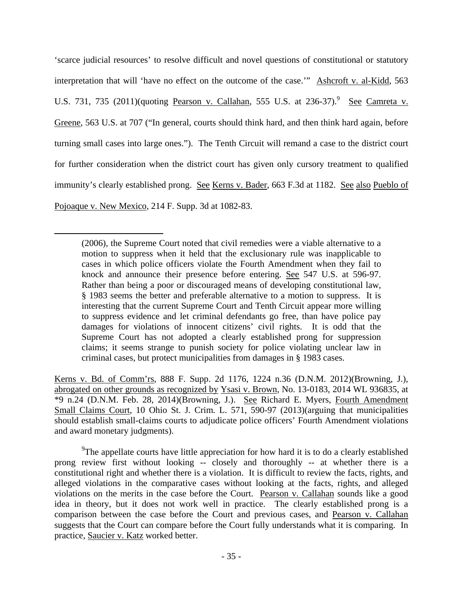'scarce judicial resources' to resolve difficult and novel questions of constitutional or statutory interpretation that will 'have no effect on the outcome of the case.'" Ashcroft v. al-Kidd, 563 U.S. 731, 735 (2011)(quoting Pearson v. Callahan, 555 U.S. at 236-37).<sup>9</sup> See Camreta v. Greene, 563 U.S. at 707 ("In general, courts should think hard, and then think hard again, before turning small cases into large ones."). The Tenth Circuit will remand a case to the district court for further consideration when the district court has given only cursory treatment to qualified immunity's clearly established prong. See Kerns v. Bader, 663 F.3d at 1182. See also Pueblo of Pojoaque v. New Mexico, 214 F. Supp. 3d at 1082-83.

 $\overline{a}$ 

Kerns v. Bd. of Comm'rs, 888 F. Supp. 2d 1176, 1224 n.36 (D.N.M. 2012)(Browning, J.), abrogated on other grounds as recognized by Ysasi v. Brown, No. 13-0183, 2014 WL 936835, at \*9 n.24 (D.N.M. Feb. 28, 2014)(Browning, J.). See Richard E. Myers, Fourth Amendment Small Claims Court, 10 Ohio St. J. Crim. L. 571, 590-97 (2013)(arguing that municipalities should establish small-claims courts to adjudicate police officers' Fourth Amendment violations and award monetary judgments).

<sup>9</sup>The appellate courts have little appreciation for how hard it is to do a clearly established prong review first without looking -- closely and thoroughly -- at whether there is a constitutional right and whether there is a violation. It is difficult to review the facts, rights, and alleged violations in the comparative cases without looking at the facts, rights, and alleged violations on the merits in the case before the Court. Pearson v. Callahan sounds like a good idea in theory, but it does not work well in practice. The clearly established prong is a comparison between the case before the Court and previous cases, and Pearson v. Callahan suggests that the Court can compare before the Court fully understands what it is comparing. In practice, Saucier v. Katz worked better.

<sup>(2006),</sup> the Supreme Court noted that civil remedies were a viable alternative to a motion to suppress when it held that the exclusionary rule was inapplicable to cases in which police officers violate the Fourth Amendment when they fail to knock and announce their presence before entering. See 547 U.S. at 596-97. Rather than being a poor or discouraged means of developing constitutional law, § 1983 seems the better and preferable alternative to a motion to suppress. It is interesting that the current Supreme Court and Tenth Circuit appear more willing to suppress evidence and let criminal defendants go free, than have police pay damages for violations of innocent citizens' civil rights. It is odd that the Supreme Court has not adopted a clearly established prong for suppression claims; it seems strange to punish society for police violating unclear law in criminal cases, but protect municipalities from damages in § 1983 cases.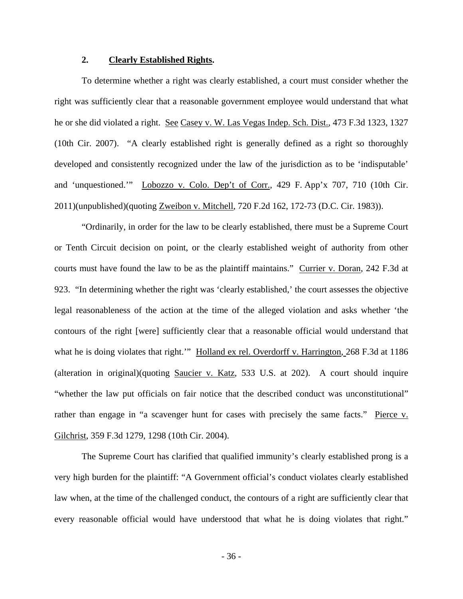## **2. Clearly Established Rights.**

To determine whether a right was clearly established, a court must consider whether the right was sufficiently clear that a reasonable government employee would understand that what he or she did violated a right. See Casey v. W. Las Vegas Indep. Sch. Dist., 473 F.3d 1323, 1327 (10th Cir. 2007). "A clearly established right is generally defined as a right so thoroughly developed and consistently recognized under the law of the jurisdiction as to be 'indisputable' and 'unquestioned.'" Lobozzo v. Colo. Dep't of Corr., 429 F. App'x 707, 710 (10th Cir. 2011)(unpublished)(quoting Zweibon v. Mitchell, 720 F.2d 162, 172-73 (D.C. Cir. 1983)).

"Ordinarily, in order for the law to be clearly established, there must be a Supreme Court or Tenth Circuit decision on point, or the clearly established weight of authority from other courts must have found the law to be as the plaintiff maintains." Currier v. Doran, 242 F.3d at 923. "In determining whether the right was 'clearly established,' the court assesses the objective legal reasonableness of the action at the time of the alleged violation and asks whether 'the contours of the right [were] sufficiently clear that a reasonable official would understand that what he is doing violates that right." Holland ex rel. Overdorff v. Harrington, 268 F.3d at 1186 (alteration in original)(quoting Saucier v. Katz, 533 U.S. at 202). A court should inquire "whether the law put officials on fair notice that the described conduct was unconstitutional" rather than engage in "a scavenger hunt for cases with precisely the same facts." Pierce v. Gilchrist, 359 F.3d 1279, 1298 (10th Cir. 2004).

The Supreme Court has clarified that qualified immunity's clearly established prong is a very high burden for the plaintiff: "A Government official's conduct violates clearly established law when, at the time of the challenged conduct, the contours of a right are sufficiently clear that every reasonable official would have understood that what he is doing violates that right."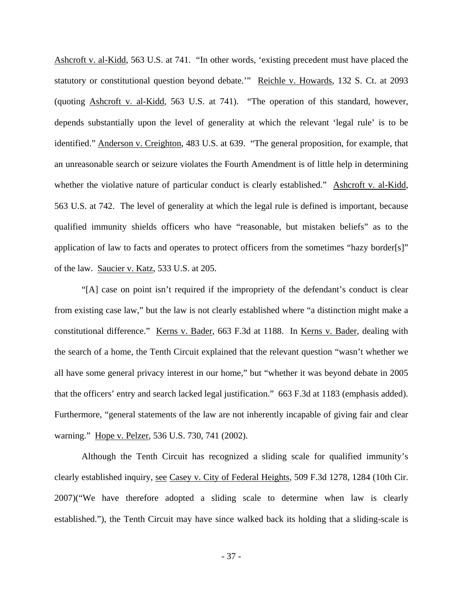Ashcroft v. al-Kidd, 563 U.S. at 741. "In other words, 'existing precedent must have placed the statutory or constitutional question beyond debate.'" Reichle v. Howards, 132 S. Ct. at 2093 (quoting Ashcroft v. al-Kidd, 563 U.S. at 741). "The operation of this standard, however, depends substantially upon the level of generality at which the relevant 'legal rule' is to be identified." Anderson v. Creighton, 483 U.S. at 639. "The general proposition, for example, that an unreasonable search or seizure violates the Fourth Amendment is of little help in determining whether the violative nature of particular conduct is clearly established." Ashcroft v. al-Kidd, 563 U.S. at 742. The level of generality at which the legal rule is defined is important, because qualified immunity shields officers who have "reasonable, but mistaken beliefs" as to the application of law to facts and operates to protect officers from the sometimes "hazy border[s]" of the law. Saucier v. Katz, 533 U.S. at 205.

"[A] case on point isn't required if the impropriety of the defendant's conduct is clear from existing case law," but the law is not clearly established where "a distinction might make a constitutional difference." Kerns v. Bader, 663 F.3d at 1188. In Kerns v. Bader, dealing with the search of a home, the Tenth Circuit explained that the relevant question "wasn't whether we all have some general privacy interest in our home," but "whether it was beyond debate in 2005 that the officers' entry and search lacked legal justification." 663 F.3d at 1183 (emphasis added). Furthermore, "general statements of the law are not inherently incapable of giving fair and clear warning." Hope v. Pelzer, 536 U.S. 730, 741 (2002).

Although the Tenth Circuit has recognized a sliding scale for qualified immunity's clearly established inquiry, see Casey v. City of Federal Heights, 509 F.3d 1278, 1284 (10th Cir. 2007)("We have therefore adopted a sliding scale to determine when law is clearly established."), the Tenth Circuit may have since walked back its holding that a sliding-scale is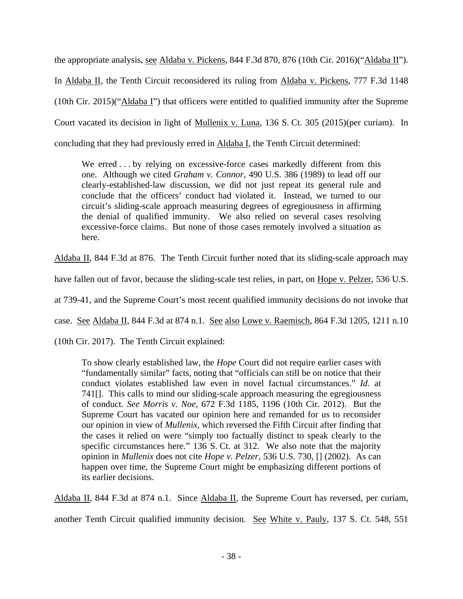the appropriate analysis, see Aldaba v. Pickens, 844 F.3d 870, 876 (10th Cir. 2016)("Aldaba II"). In Aldaba II, the Tenth Circuit reconsidered its ruling from Aldaba v. Pickens, 777 F.3d 1148 (10th Cir. 2015)("Aldaba I") that officers were entitled to qualified immunity after the Supreme Court vacated its decision in light of Mullenix v. Luna, 136 S. Ct. 305 (2015)(per curiam). In concluding that they had previously erred in Aldaba I, the Tenth Circuit determined:

We erred . . . by relying on excessive-force cases markedly different from this one. Although we cited *Graham v. Connor*, 490 U.S. 386 (1989) to lead off our clearly-established-law discussion, we did not just repeat its general rule and conclude that the officers' conduct had violated it. Instead, we turned to our circuit's sliding-scale approach measuring degrees of egregiousness in affirming the denial of qualified immunity. We also relied on several cases resolving excessive-force claims. But none of those cases remotely involved a situation as here.

Aldaba II, 844 F.3d at 876. The Tenth Circuit further noted that its sliding-scale approach may

have fallen out of favor, because the sliding-scale test relies, in part, on Hope v. Pelzer, 536 U.S.

at 739-41, and the Supreme Court's most recent qualified immunity decisions do not invoke that

case. See Aldaba II, 844 F.3d at 874 n.1. See also Lowe v. Raemisch, 864 F.3d 1205, 1211 n.10

(10th Cir. 2017). The Tenth Circuit explained:

To show clearly established law, the *Hope* Court did not require earlier cases with "fundamentally similar" facts, noting that "officials can still be on notice that their conduct violates established law even in novel factual circumstances." *Id.* at 741[]. This calls to mind our sliding-scale approach measuring the egregiousness of conduct. *See Morris v. Noe*, 672 F.3d 1185, 1196 (10th Cir. 2012). But the Supreme Court has vacated our opinion here and remanded for us to reconsider our opinion in view of *Mullenix*, which reversed the Fifth Circuit after finding that the cases it relied on were "simply too factually distinct to speak clearly to the specific circumstances here." 136 S. Ct. at 312. We also note that the majority opinion in *Mullenix* does not cite *Hope v. Pelzer*, 536 U.S. 730, [] (2002). As can happen over time, the Supreme Court might be emphasizing different portions of its earlier decisions.

Aldaba II, 844 F.3d at 874 n.1. Since Aldaba II, the Supreme Court has reversed, per curiam,

another Tenth Circuit qualified immunity decision. See White v. Pauly, 137 S. Ct. 548, 551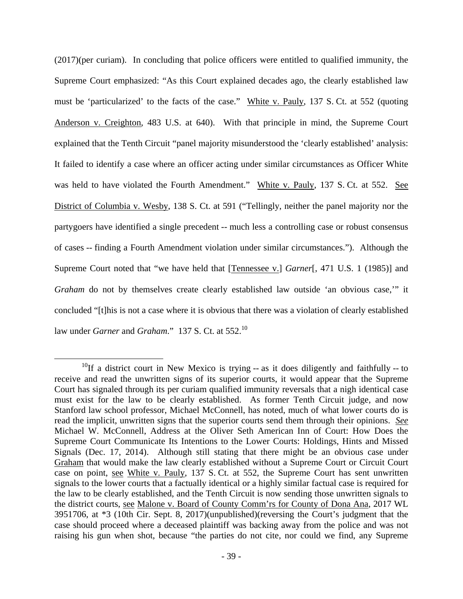(2017)(per curiam). In concluding that police officers were entitled to qualified immunity, the Supreme Court emphasized: "As this Court explained decades ago, the clearly established law must be 'particularized' to the facts of the case." White v. Pauly, 137 S. Ct. at 552 (quoting Anderson v. Creighton, 483 U.S. at 640). With that principle in mind, the Supreme Court explained that the Tenth Circuit "panel majority misunderstood the 'clearly established' analysis: It failed to identify a case where an officer acting under similar circumstances as Officer White was held to have violated the Fourth Amendment." White v. Pauly, 137 S. Ct. at 552. See District of Columbia v. Wesby, 138 S. Ct. at 591 ("Tellingly, neither the panel majority nor the partygoers have identified a single precedent -- much less a controlling case or robust consensus of cases -- finding a Fourth Amendment violation under similar circumstances."). Although the Supreme Court noted that "we have held that [Tennessee v.] *Garner*[, 471 U.S. 1 (1985)] and *Graham* do not by themselves create clearly established law outside 'an obvious case,'" it concluded "[t]his is not a case where it is obvious that there was a violation of clearly established law under *Garner* and *Graham*." 137 S. Ct. at 552.<sup>10</sup>

 $10$ If a district court in New Mexico is trying -- as it does diligently and faithfully -- to receive and read the unwritten signs of its superior courts, it would appear that the Supreme Court has signaled through its per curiam qualified immunity reversals that a nigh identical case must exist for the law to be clearly established. As former Tenth Circuit judge, and now Stanford law school professor, Michael McConnell, has noted, much of what lower courts do is read the implicit, unwritten signs that the superior courts send them through their opinions. *See*  Michael W. McConnell, Address at the Oliver Seth American Inn of Court: How Does the Supreme Court Communicate Its Intentions to the Lower Courts: Holdings, Hints and Missed Signals (Dec. 17, 2014). Although still stating that there might be an obvious case under Graham that would make the law clearly established without a Supreme Court or Circuit Court case on point, see White v. Pauly, 137 S. Ct. at 552, the Supreme Court has sent unwritten signals to the lower courts that a factually identical or a highly similar factual case is required for the law to be clearly established, and the Tenth Circuit is now sending those unwritten signals to the district courts, see Malone v. Board of County Comm'rs for County of Dona Ana, 2017 WL 3951706, at \*3 (10th Cir. Sept. 8, 2017)(unpublished)(reversing the Court's judgment that the case should proceed where a deceased plaintiff was backing away from the police and was not raising his gun when shot, because "the parties do not cite, nor could we find, any Supreme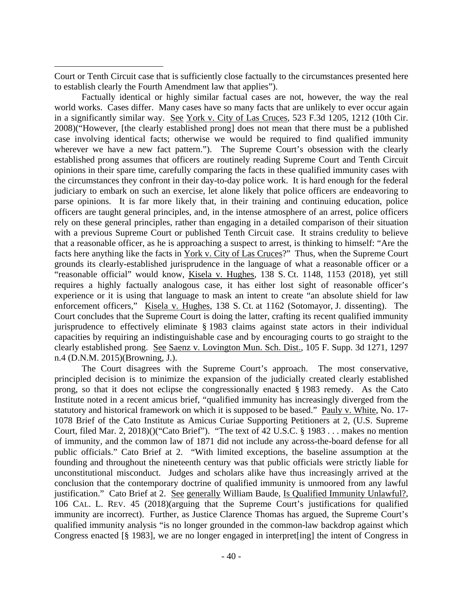Court or Tenth Circuit case that is sufficiently close factually to the circumstances presented here to establish clearly the Fourth Amendment law that applies").

 $\overline{a}$ 

Factually identical or highly similar factual cases are not, however, the way the real world works. Cases differ. Many cases have so many facts that are unlikely to ever occur again in a significantly similar way. See York v. City of Las Cruces, 523 F.3d 1205, 1212 (10th Cir. 2008)("However, [the clearly established prong] does not mean that there must be a published case involving identical facts; otherwise we would be required to find qualified immunity wherever we have a new fact pattern."). The Supreme Court's obsession with the clearly established prong assumes that officers are routinely reading Supreme Court and Tenth Circuit opinions in their spare time, carefully comparing the facts in these qualified immunity cases with the circumstances they confront in their day-to-day police work. It is hard enough for the federal judiciary to embark on such an exercise, let alone likely that police officers are endeavoring to parse opinions. It is far more likely that, in their training and continuing education, police officers are taught general principles, and, in the intense atmosphere of an arrest, police officers rely on these general principles, rather than engaging in a detailed comparison of their situation with a previous Supreme Court or published Tenth Circuit case. It strains credulity to believe that a reasonable officer, as he is approaching a suspect to arrest, is thinking to himself: "Are the facts here anything like the facts in York v. City of Las Cruces?" Thus, when the Supreme Court grounds its clearly-established jurisprudence in the language of what a reasonable officer or a "reasonable official" would know, Kisela v. Hughes, 138 S. Ct. 1148, 1153 (2018), yet still requires a highly factually analogous case, it has either lost sight of reasonable officer's experience or it is using that language to mask an intent to create "an absolute shield for law enforcement officers," Kisela v. Hughes, 138 S. Ct. at 1162 (Sotomayor, J. dissenting). The Court concludes that the Supreme Court is doing the latter, crafting its recent qualified immunity jurisprudence to effectively eliminate § 1983 claims against state actors in their individual capacities by requiring an indistinguishable case and by encouraging courts to go straight to the clearly established prong. See Saenz v. Lovington Mun. Sch. Dist., 105 F. Supp. 3d 1271, 1297 n.4 (D.N.M. 2015)(Browning, J.).

The Court disagrees with the Supreme Court's approach. The most conservative, principled decision is to minimize the expansion of the judicially created clearly established prong, so that it does not eclipse the congressionally enacted § 1983 remedy. As the Cato Institute noted in a recent amicus brief, "qualified immunity has increasingly diverged from the statutory and historical framework on which it is supposed to be based." Pauly v. White, No. 17- 1078 Brief of the Cato Institute as Amicus Curiae Supporting Petitioners at 2, (U.S. Supreme Court, filed Mar. 2, 2018)()("Cato Brief"). "The text of 42 U.S.C. § 1983 . . . makes no mention of immunity, and the common law of 1871 did not include any across-the-board defense for all public officials." Cato Brief at 2. "With limited exceptions, the baseline assumption at the founding and throughout the nineteenth century was that public officials were strictly liable for unconstitutional misconduct. Judges and scholars alike have thus increasingly arrived at the conclusion that the contemporary doctrine of qualified immunity is unmoored from any lawful justification." Cato Brief at 2. See generally William Baude, Is Qualified Immunity Unlawful?, 106 CAL. L. REV. 45 (2018)(arguing that the Supreme Court's justifications for qualified immunity are incorrect). Further, as Justice Clarence Thomas has argued, the Supreme Court's qualified immunity analysis "is no longer grounded in the common-law backdrop against which Congress enacted [§ 1983], we are no longer engaged in interpret[ing] the intent of Congress in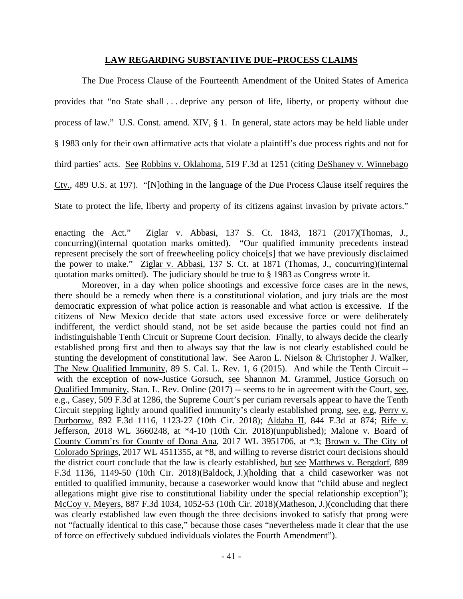## **LAW REGARDING SUBSTANTIVE DUE–PROCESS CLAIMS**

The Due Process Clause of the Fourteenth Amendment of the United States of America provides that "no State shall . . . deprive any person of life, liberty, or property without due process of law." U.S. Const. amend. XIV, § 1. In general, state actors may be held liable under § 1983 only for their own affirmative acts that violate a plaintiff's due process rights and not for third parties' acts. See Robbins v. Oklahoma, 519 F.3d at 1251 (citing DeShaney v. Winnebago Cty., 489 U.S. at 197). "[N]othing in the language of the Due Process Clause itself requires the State to protect the life, liberty and property of its citizens against invasion by private actors."

 $\overline{a}$ 

Moreover, in a day when police shootings and excessive force cases are in the news, there should be a remedy when there is a constitutional violation, and jury trials are the most democratic expression of what police action is reasonable and what action is excessive. If the citizens of New Mexico decide that state actors used excessive force or were deliberately indifferent, the verdict should stand, not be set aside because the parties could not find an indistinguishable Tenth Circuit or Supreme Court decision. Finally, to always decide the clearly established prong first and then to always say that the law is not clearly established could be stunting the development of constitutional law. See Aaron L. Nielson & Christopher J. Walker, The New Qualified Immunity, 89 S. Cal. L. Rev. 1, 6 (2015). And while the Tenth Circuit - with the exception of now-Justice Gorsuch, see Shannon M. Grammel, Justice Gorsuch on Qualified Immunity, Stan. L. Rev. Online (2017) -- seems to be in agreement with the Court, see, e.g., Casey, 509 F.3d at 1286, the Supreme Court's per curiam reversals appear to have the Tenth Circuit stepping lightly around qualified immunity's clearly established prong, see, e.g, Perry v. Durborow, 892 F.3d 1116, 1123-27 (10th Cir. 2018); Aldaba II, 844 F.3d at 874; Rife v. Jefferson, 2018 WL 3660248, at \*4-10 (10th Cir. 2018)(unpublished); Malone v. Board of County Comm'rs for County of Dona Ana, 2017 WL 3951706, at \*3; Brown v. The City of Colorado Springs, 2017 WL 4511355, at \*8, and willing to reverse district court decisions should the district court conclude that the law is clearly established, but see Matthews v. Bergdorf, 889 F.3d 1136, 1149-50 (10th Cir. 2018)(Baldock, J.)(holding that a child caseworker was not entitled to qualified immunity, because a caseworker would know that "child abuse and neglect allegations might give rise to constitutional liability under the special relationship exception"); McCoy v. Meyers, 887 F.3d 1034, 1052-53 (10th Cir. 2018)(Matheson, J.)(concluding that there was clearly established law even though the three decisions invoked to satisfy that prong were not "factually identical to this case," because those cases "nevertheless made it clear that the use of force on effectively subdued individuals violates the Fourth Amendment").

enacting the Act." Ziglar v. Abbasi, 137 S. Ct. 1843, 1871 (2017)(Thomas, J., concurring)(internal quotation marks omitted). "Our qualified immunity precedents instead represent precisely the sort of freewheeling policy choice[s] that we have previously disclaimed the power to make." Ziglar v. Abbasi, 137 S. Ct. at 1871 (Thomas, J., concurring)(internal quotation marks omitted). The judiciary should be true to § 1983 as Congress wrote it.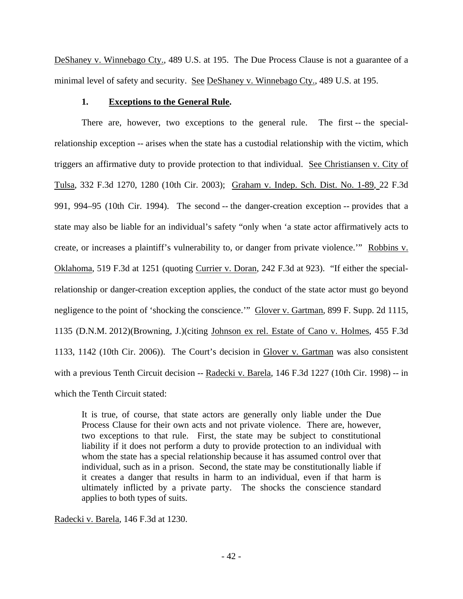DeShaney v. Winnebago Cty., 489 U.S. at 195. The Due Process Clause is not a guarantee of a minimal level of safety and security. See DeShaney v. Winnebago Cty., 489 U.S. at 195.

### **1. Exceptions to the General Rule.**

There are, however, two exceptions to the general rule. The first -- the specialrelationship exception -- arises when the state has a custodial relationship with the victim, which triggers an affirmative duty to provide protection to that individual. See Christiansen v. City of Tulsa, 332 F.3d 1270, 1280 (10th Cir. 2003); Graham v. Indep. Sch. Dist. No. 1-89, 22 F.3d 991, 994–95 (10th Cir. 1994). The second -- the danger-creation exception -- provides that a state may also be liable for an individual's safety "only when 'a state actor affirmatively acts to create, or increases a plaintiff's vulnerability to, or danger from private violence." Robbins v. Oklahoma, 519 F.3d at 1251 (quoting Currier v. Doran, 242 F.3d at 923). "If either the specialrelationship or danger-creation exception applies, the conduct of the state actor must go beyond negligence to the point of 'shocking the conscience.'" Glover v. Gartman, 899 F. Supp. 2d 1115, 1135 (D.N.M. 2012)(Browning, J.)(citing Johnson ex rel. Estate of Cano v. Holmes, 455 F.3d 1133, 1142 (10th Cir. 2006)). The Court's decision in Glover v. Gartman was also consistent with a previous Tenth Circuit decision -- Radecki v. Barela, 146 F.3d 1227 (10th Cir. 1998) -- in which the Tenth Circuit stated:

It is true, of course, that state actors are generally only liable under the Due Process Clause for their own acts and not private violence. There are, however, two exceptions to that rule. First, the state may be subject to constitutional liability if it does not perform a duty to provide protection to an individual with whom the state has a special relationship because it has assumed control over that individual, such as in a prison. Second, the state may be constitutionally liable if it creates a danger that results in harm to an individual, even if that harm is ultimately inflicted by a private party. The shocks the conscience standard applies to both types of suits.

Radecki v. Barela, 146 F.3d at 1230.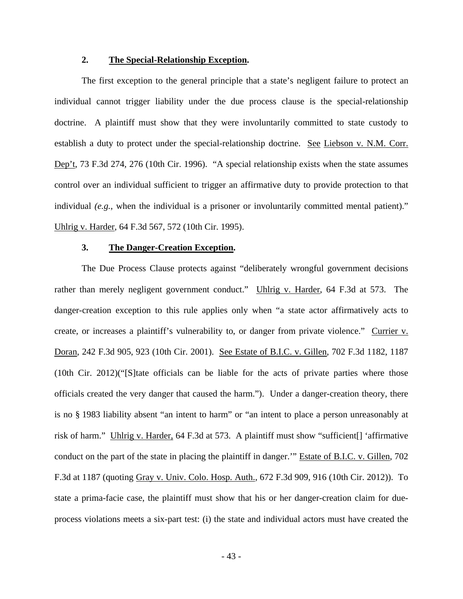## **2. The Special-Relationship Exception.**

The first exception to the general principle that a state's negligent failure to protect an individual cannot trigger liability under the due process clause is the special-relationship doctrine. A plaintiff must show that they were involuntarily committed to state custody to establish a duty to protect under the special-relationship doctrine. See Liebson v. N.M. Corr. Dep't, 73 F.3d 274, 276 (10th Cir. 1996). "A special relationship exists when the state assumes control over an individual sufficient to trigger an affirmative duty to provide protection to that individual *(e.g.,* when the individual is a prisoner or involuntarily committed mental patient)." Uhlrig v. Harder, 64 F.3d 567, 572 (10th Cir. 1995).

## **3. The Danger-Creation Exception.**

The Due Process Clause protects against "deliberately wrongful government decisions rather than merely negligent government conduct." Uhlrig v. Harder, 64 F.3d at 573. The danger-creation exception to this rule applies only when "a state actor affirmatively acts to create, or increases a plaintiff's vulnerability to, or danger from private violence." Currier v. Doran, 242 F.3d 905, 923 (10th Cir. 2001). See Estate of B.I.C. v. Gillen, 702 F.3d 1182, 1187 (10th Cir. 2012)("[S]tate officials can be liable for the acts of private parties where those officials created the very danger that caused the harm."). Under a danger-creation theory, there is no § 1983 liability absent "an intent to harm" or "an intent to place a person unreasonably at risk of harm." Uhlrig v. Harder, 64 F.3d at 573. A plaintiff must show "sufficient[] 'affirmative conduct on the part of the state in placing the plaintiff in danger.'" Estate of B.I.C. v. Gillen, 702 F.3d at 1187 (quoting Gray v. Univ. Colo. Hosp. Auth., 672 F.3d 909, 916 (10th Cir. 2012)). To state a prima-facie case, the plaintiff must show that his or her danger-creation claim for dueprocess violations meets a six-part test: (i) the state and individual actors must have created the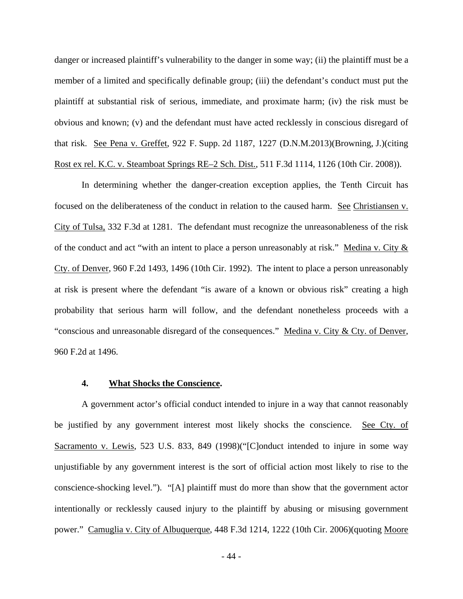danger or increased plaintiff's vulnerability to the danger in some way; (ii) the plaintiff must be a member of a limited and specifically definable group; (iii) the defendant's conduct must put the plaintiff at substantial risk of serious, immediate, and proximate harm; (iv) the risk must be obvious and known; (v) and the defendant must have acted recklessly in conscious disregard of that risk. See Pena v. Greffet, 922 F. Supp. 2d 1187, 1227 (D.N.M.2013)(Browning, J.)(citing Rost ex rel. K.C. v. Steamboat Springs RE–2 Sch. Dist., 511 F.3d 1114, 1126 (10th Cir. 2008)).

In determining whether the danger-creation exception applies, the Tenth Circuit has focused on the deliberateness of the conduct in relation to the caused harm. See Christiansen v. City of Tulsa, 332 F.3d at 1281. The defendant must recognize the unreasonableness of the risk of the conduct and act "with an intent to place a person unreasonably at risk." Medina v. City  $&$ Cty. of Denver, 960 F.2d 1493, 1496 (10th Cir. 1992). The intent to place a person unreasonably at risk is present where the defendant "is aware of a known or obvious risk" creating a high probability that serious harm will follow, and the defendant nonetheless proceeds with a "conscious and unreasonable disregard of the consequences." Medina v. City & Cty. of Denver, 960 F.2d at 1496.

### **4. What Shocks the Conscience.**

A government actor's official conduct intended to injure in a way that cannot reasonably be justified by any government interest most likely shocks the conscience. See Cty. of Sacramento v. Lewis, 523 U.S. 833, 849 (1998)("[C]onduct intended to injure in some way unjustifiable by any government interest is the sort of official action most likely to rise to the conscience-shocking level."). "[A] plaintiff must do more than show that the government actor intentionally or recklessly caused injury to the plaintiff by abusing or misusing government power." Camuglia v. City of Albuquerque, 448 F.3d 1214, 1222 (10th Cir. 2006)(quoting Moore

- 44 -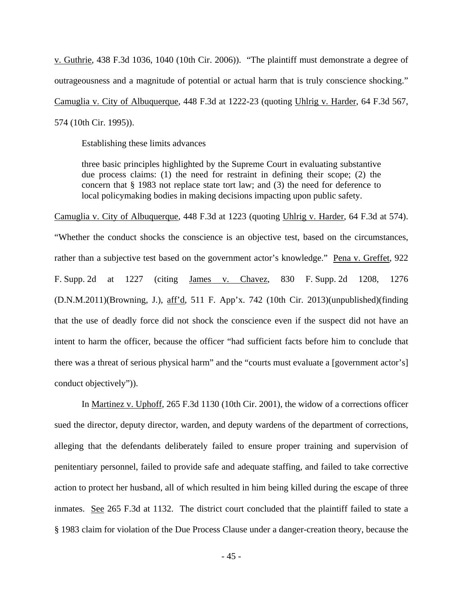v. Guthrie, 438 F.3d 1036, 1040 (10th Cir. 2006)). "The plaintiff must demonstrate a degree of outrageousness and a magnitude of potential or actual harm that is truly conscience shocking." Camuglia v. City of Albuquerque, 448 F.3d at 1222-23 (quoting Uhlrig v. Harder, 64 F.3d 567, 574 (10th Cir. 1995)).

Establishing these limits advances

three basic principles highlighted by the Supreme Court in evaluating substantive due process claims: (1) the need for restraint in defining their scope; (2) the concern that § 1983 not replace state tort law; and (3) the need for deference to local policymaking bodies in making decisions impacting upon public safety.

Camuglia v. City of Albuquerque, 448 F.3d at 1223 (quoting Uhlrig v. Harder, 64 F.3d at 574). "Whether the conduct shocks the conscience is an objective test, based on the circumstances, rather than a subjective test based on the government actor's knowledge." Pena v. Greffet, 922 F. Supp. 2d at 1227 (citing James v. Chavez, 830 F. Supp. 2d 1208, 1276 (D.N.M.2011)(Browning, J.), aff'd, 511 F. App'x. 742 (10th Cir. 2013)(unpublished)(finding that the use of deadly force did not shock the conscience even if the suspect did not have an intent to harm the officer, because the officer "had sufficient facts before him to conclude that there was a threat of serious physical harm" and the "courts must evaluate a [government actor's] conduct objectively")).

In Martinez v. Uphoff, 265 F.3d 1130 (10th Cir. 2001), the widow of a corrections officer sued the director, deputy director, warden, and deputy wardens of the department of corrections, alleging that the defendants deliberately failed to ensure proper training and supervision of penitentiary personnel, failed to provide safe and adequate staffing, and failed to take corrective action to protect her husband, all of which resulted in him being killed during the escape of three inmates. See 265 F.3d at 1132. The district court concluded that the plaintiff failed to state a § 1983 claim for violation of the Due Process Clause under a danger-creation theory, because the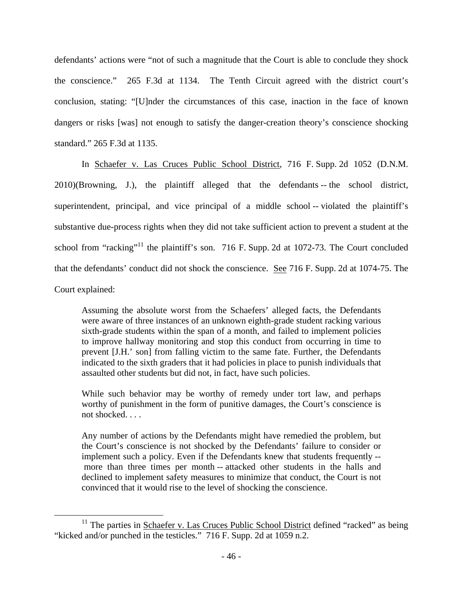defendants' actions were "not of such a magnitude that the Court is able to conclude they shock the conscience." 265 F.3d at 1134. The Tenth Circuit agreed with the district court's conclusion, stating: "[U]nder the circumstances of this case, inaction in the face of known dangers or risks [was] not enough to satisfy the danger-creation theory's conscience shocking standard." 265 F.3d at 1135.

In Schaefer v. Las Cruces Public School District, 716 F. Supp. 2d 1052 (D.N.M. 2010)(Browning, J.), the plaintiff alleged that the defendants -- the school district, superintendent, principal, and vice principal of a middle school -- violated the plaintiff's substantive due-process rights when they did not take sufficient action to prevent a student at the school from "racking"<sup>11</sup> the plaintiff's son. 716 F. Supp. 2d at 1072-73. The Court concluded that the defendants' conduct did not shock the conscience. See 716 F. Supp. 2d at 1074-75. The Court explained:

Assuming the absolute worst from the Schaefers' alleged facts, the Defendants were aware of three instances of an unknown eighth-grade student racking various sixth-grade students within the span of a month, and failed to implement policies to improve hallway monitoring and stop this conduct from occurring in time to prevent [J.H.' son] from falling victim to the same fate. Further, the Defendants indicated to the sixth graders that it had policies in place to punish individuals that assaulted other students but did not, in fact, have such policies.

While such behavior may be worthy of remedy under tort law, and perhaps worthy of punishment in the form of punitive damages, the Court's conscience is not shocked. . . .

Any number of actions by the Defendants might have remedied the problem, but the Court's conscience is not shocked by the Defendants' failure to consider or implement such a policy. Even if the Defendants knew that students frequently - more than three times per month -- attacked other students in the halls and declined to implement safety measures to minimize that conduct, the Court is not convinced that it would rise to the level of shocking the conscience.

<sup>&</sup>lt;sup>11</sup> The parties in Schaefer v. Las Cruces Public School District defined "racked" as being "kicked and/or punched in the testicles." 716 F. Supp. 2d at 1059 n.2.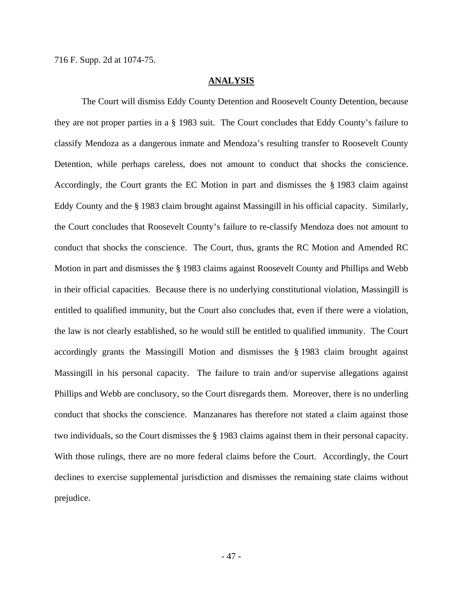## **ANALYSIS**

 The Court will dismiss Eddy County Detention and Roosevelt County Detention, because they are not proper parties in a § 1983 suit. The Court concludes that Eddy County's failure to classify Mendoza as a dangerous inmate and Mendoza's resulting transfer to Roosevelt County Detention, while perhaps careless, does not amount to conduct that shocks the conscience. Accordingly, the Court grants the EC Motion in part and dismisses the § 1983 claim against Eddy County and the § 1983 claim brought against Massingill in his official capacity. Similarly, the Court concludes that Roosevelt County's failure to re-classify Mendoza does not amount to conduct that shocks the conscience. The Court, thus, grants the RC Motion and Amended RC Motion in part and dismisses the § 1983 claims against Roosevelt County and Phillips and Webb in their official capacities. Because there is no underlying constitutional violation, Massingill is entitled to qualified immunity, but the Court also concludes that, even if there were a violation, the law is not clearly established, so he would still be entitled to qualified immunity. The Court accordingly grants the Massingill Motion and dismisses the § 1983 claim brought against Massingill in his personal capacity. The failure to train and/or supervise allegations against Phillips and Webb are conclusory, so the Court disregards them. Moreover, there is no underling conduct that shocks the conscience. Manzanares has therefore not stated a claim against those two individuals, so the Court dismisses the § 1983 claims against them in their personal capacity. With those rulings, there are no more federal claims before the Court. Accordingly, the Court declines to exercise supplemental jurisdiction and dismisses the remaining state claims without prejudice.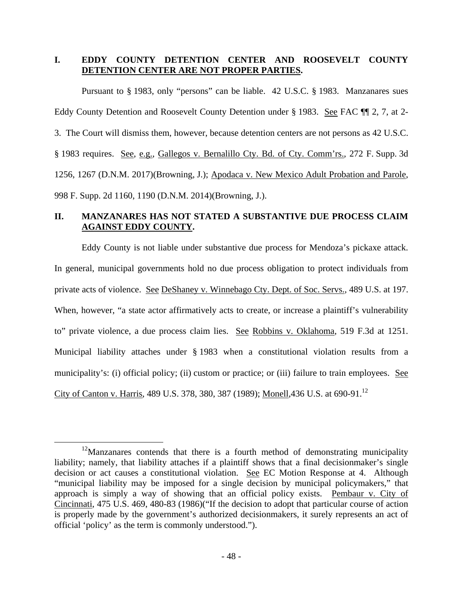# **I. EDDY COUNTY DETENTION CENTER AND ROOSEVELT COUNTY DETENTION CENTER ARE NOT PROPER PARTIES.**

Pursuant to § 1983, only "persons" can be liable. 42 U.S.C. § 1983. Manzanares sues Eddy County Detention and Roosevelt County Detention under § 1983. See FAC ¶¶ 2, 7, at 2- 3. The Court will dismiss them, however, because detention centers are not persons as 42 U.S.C. § 1983 requires. See, e.g., Gallegos v. Bernalillo Cty. Bd. of Cty. Comm'rs., 272 F. Supp. 3d 1256, 1267 (D.N.M. 2017)(Browning, J.); Apodaca v. New Mexico Adult Probation and Parole, 998 F. Supp. 2d 1160, 1190 (D.N.M. 2014)(Browning, J.).

# **II. MANZANARES HAS NOT STATED A SUBSTANTIVE DUE PROCESS CLAIM AGAINST EDDY COUNTY.**

Eddy County is not liable under substantive due process for Mendoza's pickaxe attack. In general, municipal governments hold no due process obligation to protect individuals from private acts of violence. See DeShaney v. Winnebago Cty. Dept. of Soc. Servs., 489 U.S. at 197. When, however, "a state actor affirmatively acts to create, or increase a plaintiff's vulnerability to" private violence, a due process claim lies. See Robbins v. Oklahoma, 519 F.3d at 1251. Municipal liability attaches under § 1983 when a constitutional violation results from a municipality's: (i) official policy; (ii) custom or practice; or (iii) failure to train employees. See City of Canton v. Harris, 489 U.S. 378, 380, 387 (1989); Monell, 436 U.S. at 690-91.<sup>12</sup>

<sup>&</sup>lt;sup>12</sup>Manzanares contends that there is a fourth method of demonstrating municipality liability; namely, that liability attaches if a plaintiff shows that a final decisionmaker's single decision or act causes a constitutional violation. See EC Motion Response at 4. Although "municipal liability may be imposed for a single decision by municipal policymakers," that approach is simply a way of showing that an official policy exists. Pembaur v. City of Cincinnati, 475 U.S. 469, 480-83 (1986)("If the decision to adopt that particular course of action is properly made by the government's authorized decisionmakers, it surely represents an act of official 'policy' as the term is commonly understood.").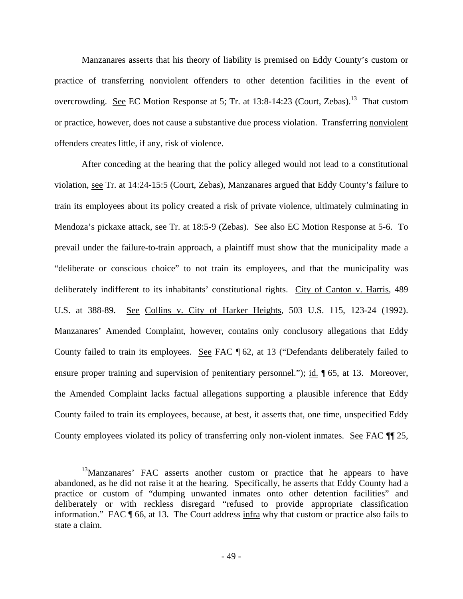Manzanares asserts that his theory of liability is premised on Eddy County's custom or practice of transferring nonviolent offenders to other detention facilities in the event of overcrowding. See EC Motion Response at 5; Tr. at  $13:8-14:23$  (Court, Zebas).<sup>13</sup> That custom or practice, however, does not cause a substantive due process violation. Transferring nonviolent offenders creates little, if any, risk of violence.

After conceding at the hearing that the policy alleged would not lead to a constitutional violation, see Tr. at 14:24-15:5 (Court, Zebas), Manzanares argued that Eddy County's failure to train its employees about its policy created a risk of private violence, ultimately culminating in Mendoza's pickaxe attack, see Tr. at 18:5-9 (Zebas). See also EC Motion Response at 5-6. To prevail under the failure-to-train approach, a plaintiff must show that the municipality made a "deliberate or conscious choice" to not train its employees, and that the municipality was deliberately indifferent to its inhabitants' constitutional rights. City of Canton v. Harris, 489 U.S. at 388-89. See Collins v. City of Harker Heights, 503 U.S. 115, 123-24 (1992). Manzanares' Amended Complaint, however, contains only conclusory allegations that Eddy County failed to train its employees. See FAC ¶ 62, at 13 ("Defendants deliberately failed to ensure proper training and supervision of penitentiary personnel."); id. ¶ 65, at 13. Moreover, the Amended Complaint lacks factual allegations supporting a plausible inference that Eddy County failed to train its employees, because, at best, it asserts that, one time, unspecified Eddy County employees violated its policy of transferring only non-violent inmates. See FAC  $\P$  25,

<sup>&</sup>lt;sup>13</sup>Manzanares' FAC asserts another custom or practice that he appears to have abandoned, as he did not raise it at the hearing. Specifically, he asserts that Eddy County had a practice or custom of "dumping unwanted inmates onto other detention facilities" and deliberately or with reckless disregard "refused to provide appropriate classification information." FAC ¶ 66, at 13. The Court address infra why that custom or practice also fails to state a claim.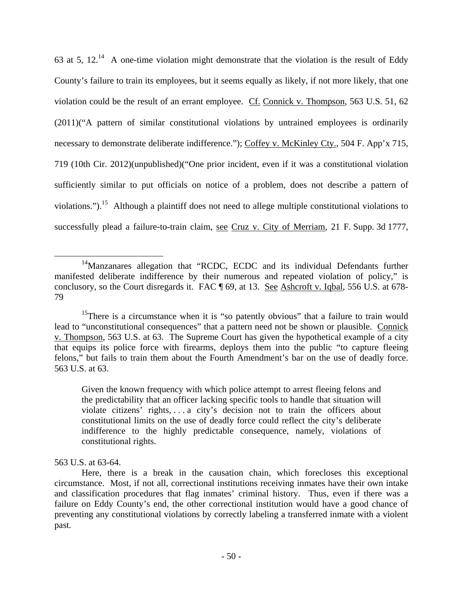63 at 5,  $12.^{14}$  A one-time violation might demonstrate that the violation is the result of Eddy County's failure to train its employees, but it seems equally as likely, if not more likely, that one violation could be the result of an errant employee. Cf. Connick v. Thompson, 563 U.S. 51, 62 (2011)("A pattern of similar constitutional violations by untrained employees is ordinarily necessary to demonstrate deliberate indifference."); Coffey v. McKinley Cty., 504 F. App'x 715, 719 (10th Cir. 2012)(unpublished)("One prior incident, even if it was a constitutional violation sufficiently similar to put officials on notice of a problem, does not describe a pattern of violations.").<sup>15</sup> Although a plaintiff does not need to allege multiple constitutional violations to successfully plead a failure-to-train claim, see Cruz v. City of Merriam, 21 F. Supp. 3d 1777,

Given the known frequency with which police attempt to arrest fleeing felons and the predictability that an officer lacking specific tools to handle that situation will violate citizens' rights, . . . a city's decision not to train the officers about constitutional limits on the use of deadly force could reflect the city's deliberate indifference to the highly predictable consequence, namely, violations of constitutional rights.

563 U.S. at 63-64.

 $\overline{a}$ <sup>14</sup>Manzanares allegation that "RCDC, ECDC and its individual Defendants further manifested deliberate indifference by their numerous and repeated violation of policy," is conclusory, so the Court disregards it. FAC ¶ 69, at 13. See Ashcroft v. Iqbal, 556 U.S. at 678-79

<sup>&</sup>lt;sup>15</sup>There is a circumstance when it is "so patently obvious" that a failure to train would lead to "unconstitutional consequences" that a pattern need not be shown or plausible. Connick v. Thompson, 563 U.S. at 63. The Supreme Court has given the hypothetical example of a city that equips its police force with firearms, deploys them into the public "to capture fleeing felons," but fails to train them about the Fourth Amendment's bar on the use of deadly force. 563 U.S. at 63.

Here, there is a break in the causation chain, which forecloses this exceptional circumstance. Most, if not all, correctional institutions receiving inmates have their own intake and classification procedures that flag inmates' criminal history. Thus, even if there was a failure on Eddy County's end, the other correctional institution would have a good chance of preventing any constitutional violations by correctly labeling a transferred inmate with a violent past.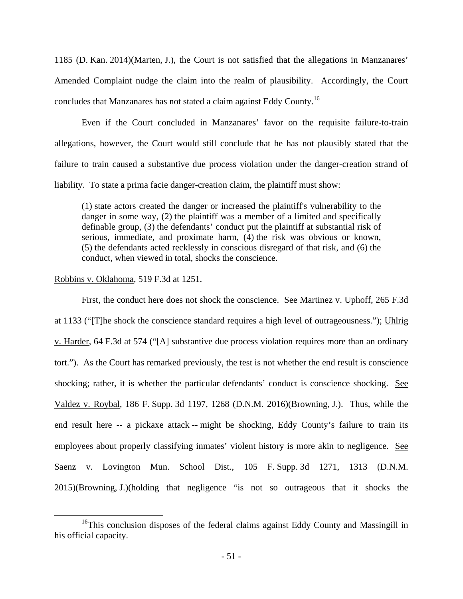1185 (D. Kan. 2014)(Marten, J.), the Court is not satisfied that the allegations in Manzanares' Amended Complaint nudge the claim into the realm of plausibility. Accordingly, the Court concludes that Manzanares has not stated a claim against Eddy County.<sup>16</sup>

 Even if the Court concluded in Manzanares' favor on the requisite failure-to-train allegations, however, the Court would still conclude that he has not plausibly stated that the failure to train caused a substantive due process violation under the danger-creation strand of liability. To state a prima facie danger-creation claim, the plaintiff must show:

(1) state actors created the danger or increased the plaintiff's vulnerability to the danger in some way, (2) the plaintiff was a member of a limited and specifically definable group, (3) the defendants' conduct put the plaintiff at substantial risk of serious, immediate, and proximate harm, (4) the risk was obvious or known, (5) the defendants acted recklessly in conscious disregard of that risk, and (6) the conduct, when viewed in total, shocks the conscience.

### Robbins v. Oklahoma, 519 F.3d at 1251.

 $\overline{a}$ 

First, the conduct here does not shock the conscience. See Martinez v. Uphoff, 265 F.3d at 1133 ("[T]he shock the conscience standard requires a high level of outrageousness."); Uhlrig v. Harder, 64 F.3d at 574 ("[A] substantive due process violation requires more than an ordinary tort."). As the Court has remarked previously, the test is not whether the end result is conscience shocking; rather, it is whether the particular defendants' conduct is conscience shocking. See Valdez v. Roybal, 186 F. Supp. 3d 1197, 1268 (D.N.M. 2016)(Browning, J.). Thus, while the end result here -- a pickaxe attack -- might be shocking, Eddy County's failure to train its employees about properly classifying inmates' violent history is more akin to negligence. See Saenz v. Lovington Mun. School Dist., 105 F. Supp. 3d 1271, 1313 (D.N.M. 2015)(Browning, J.)(holding that negligence "is not so outrageous that it shocks the

<sup>&</sup>lt;sup>16</sup>This conclusion disposes of the federal claims against Eddy County and Massingill in his official capacity.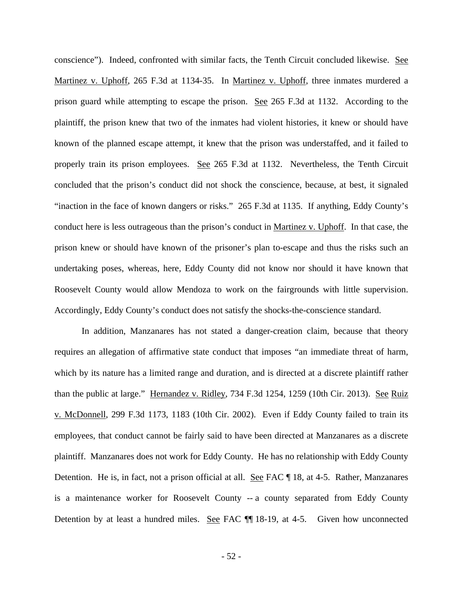conscience"). Indeed, confronted with similar facts, the Tenth Circuit concluded likewise. See Martinez v. Uphoff, 265 F.3d at 1134-35. In Martinez v. Uphoff, three inmates murdered a prison guard while attempting to escape the prison. See 265 F.3d at 1132. According to the plaintiff, the prison knew that two of the inmates had violent histories, it knew or should have known of the planned escape attempt, it knew that the prison was understaffed, and it failed to properly train its prison employees. See 265 F.3d at 1132. Nevertheless, the Tenth Circuit concluded that the prison's conduct did not shock the conscience, because, at best, it signaled "inaction in the face of known dangers or risks." 265 F.3d at 1135. If anything, Eddy County's conduct here is less outrageous than the prison's conduct in Martinez v. Uphoff. In that case, the prison knew or should have known of the prisoner's plan to-escape and thus the risks such an undertaking poses, whereas, here, Eddy County did not know nor should it have known that Roosevelt County would allow Mendoza to work on the fairgrounds with little supervision. Accordingly, Eddy County's conduct does not satisfy the shocks-the-conscience standard.

In addition, Manzanares has not stated a danger-creation claim, because that theory requires an allegation of affirmative state conduct that imposes "an immediate threat of harm, which by its nature has a limited range and duration, and is directed at a discrete plaintiff rather than the public at large." Hernandez v. Ridley, 734 F.3d 1254, 1259 (10th Cir. 2013). See Ruiz v. McDonnell, 299 F.3d 1173, 1183 (10th Cir. 2002). Even if Eddy County failed to train its employees, that conduct cannot be fairly said to have been directed at Manzanares as a discrete plaintiff. Manzanares does not work for Eddy County. He has no relationship with Eddy County Detention. He is, in fact, not a prison official at all. See FAC 18, at 4-5. Rather, Manzanares is a maintenance worker for Roosevelt County -- a county separated from Eddy County Detention by at least a hundred miles. See FAC  $\P$  18-19, at 4-5. Given how unconnected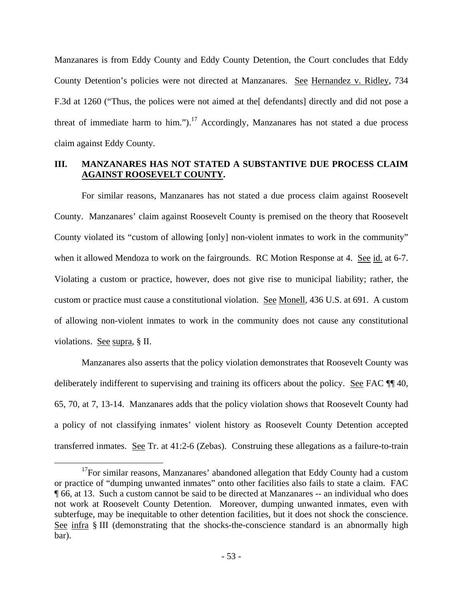Manzanares is from Eddy County and Eddy County Detention, the Court concludes that Eddy County Detention's policies were not directed at Manzanares. See Hernandez v. Ridley, 734 F.3d at 1260 ("Thus, the polices were not aimed at the[ defendants] directly and did not pose a threat of immediate harm to him.").<sup>17</sup> Accordingly, Manzanares has not stated a due process claim against Eddy County.

# **III. MANZANARES HAS NOT STATED A SUBSTANTIVE DUE PROCESS CLAIM AGAINST ROOSEVELT COUNTY.**

For similar reasons, Manzanares has not stated a due process claim against Roosevelt County. Manzanares' claim against Roosevelt County is premised on the theory that Roosevelt County violated its "custom of allowing [only] non-violent inmates to work in the community" when it allowed Mendoza to work on the fairgrounds. RC Motion Response at 4. See id. at 6-7. Violating a custom or practice, however, does not give rise to municipal liability; rather, the custom or practice must cause a constitutional violation. See Monell, 436 U.S. at 691. A custom of allowing non-violent inmates to work in the community does not cause any constitutional violations. See supra, § II.

Manzanares also asserts that the policy violation demonstrates that Roosevelt County was deliberately indifferent to supervising and training its officers about the policy. See FAC ¶¶ 40, 65, 70, at 7, 13-14. Manzanares adds that the policy violation shows that Roosevelt County had a policy of not classifying inmates' violent history as Roosevelt County Detention accepted transferred inmates. See Tr. at 41:2-6 (Zebas). Construing these allegations as a failure-to-train

 $17$ For similar reasons, Manzanares' abandoned allegation that Eddy County had a custom or practice of "dumping unwanted inmates" onto other facilities also fails to state a claim. FAC ¶ 66, at 13. Such a custom cannot be said to be directed at Manzanares -- an individual who does not work at Roosevelt County Detention. Moreover, dumping unwanted inmates, even with subterfuge, may be inequitable to other detention facilities, but it does not shock the conscience. See infra § III (demonstrating that the shocks-the-conscience standard is an abnormally high bar).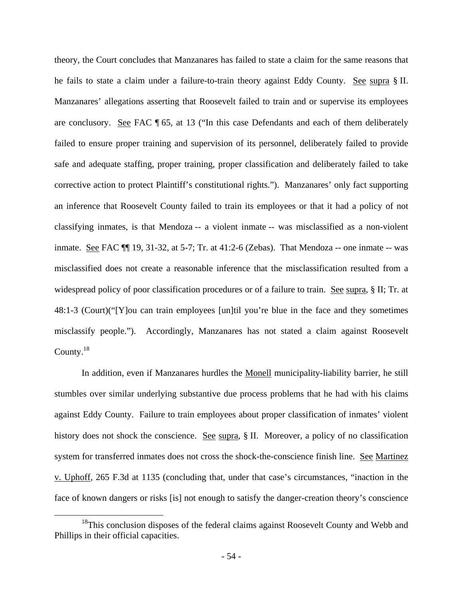theory, the Court concludes that Manzanares has failed to state a claim for the same reasons that he fails to state a claim under a failure-to-train theory against Eddy County. See supra § II. Manzanares' allegations asserting that Roosevelt failed to train and or supervise its employees are conclusory. See FAC ¶ 65, at 13 ("In this case Defendants and each of them deliberately failed to ensure proper training and supervision of its personnel, deliberately failed to provide safe and adequate staffing, proper training, proper classification and deliberately failed to take corrective action to protect Plaintiff's constitutional rights."). Manzanares' only fact supporting an inference that Roosevelt County failed to train its employees or that it had a policy of not classifying inmates, is that Mendoza -- a violent inmate -- was misclassified as a non-violent inmate. See FAC ¶¶ 19, 31-32, at 5-7; Tr. at 41:2-6 (Zebas). That Mendoza -- one inmate -- was misclassified does not create a reasonable inference that the misclassification resulted from a widespread policy of poor classification procedures or of a failure to train. See supra, § II; Tr. at 48:1-3 (Court)("[Y]ou can train employees [un]til you're blue in the face and they sometimes misclassify people."). Accordingly, Manzanares has not stated a claim against Roosevelt County.<sup>18</sup>

In addition, even if Manzanares hurdles the Monell municipality-liability barrier, he still stumbles over similar underlying substantive due process problems that he had with his claims against Eddy County. Failure to train employees about proper classification of inmates' violent history does not shock the conscience. See supra, § II. Moreover, a policy of no classification system for transferred inmates does not cross the shock-the-conscience finish line. See Martinez v. Uphoff, 265 F.3d at 1135 (concluding that, under that case's circumstances, "inaction in the face of known dangers or risks [is] not enough to satisfy the danger-creation theory's conscience

 $18$ This conclusion disposes of the federal claims against Roosevelt County and Webb and Phillips in their official capacities.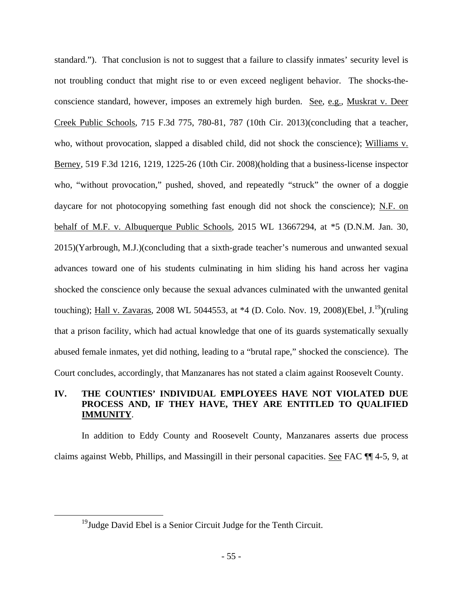standard."). That conclusion is not to suggest that a failure to classify inmates' security level is not troubling conduct that might rise to or even exceed negligent behavior. The shocks-theconscience standard, however, imposes an extremely high burden. See, e.g., Muskrat v. Deer Creek Public Schools, 715 F.3d 775, 780-81, 787 (10th Cir. 2013)(concluding that a teacher, who, without provocation, slapped a disabled child, did not shock the conscience); Williams v. Berney, 519 F.3d 1216, 1219, 1225-26 (10th Cir. 2008)(holding that a business-license inspector who, "without provocation," pushed, shoved, and repeatedly "struck" the owner of a doggie daycare for not photocopying something fast enough did not shock the conscience); N.F. on behalf of M.F. v. Albuquerque Public Schools, 2015 WL 13667294, at \*5 (D.N.M. Jan. 30, 2015)(Yarbrough, M.J.)(concluding that a sixth-grade teacher's numerous and unwanted sexual advances toward one of his students culminating in him sliding his hand across her vagina shocked the conscience only because the sexual advances culminated with the unwanted genital touching); Hall v. Zavaras, 2008 WL 5044553, at  $*4$  (D. Colo. Nov. 19, 2008)(Ebel, J.<sup>19</sup>)(ruling that a prison facility, which had actual knowledge that one of its guards systematically sexually abused female inmates, yet did nothing, leading to a "brutal rape," shocked the conscience). The Court concludes, accordingly, that Manzanares has not stated a claim against Roosevelt County.

# **IV. THE COUNTIES' INDIVIDUAL EMPLOYEES HAVE NOT VIOLATED DUE PROCESS AND, IF THEY HAVE, THEY ARE ENTITLED TO QUALIFIED IMMUNITY**.

In addition to Eddy County and Roosevelt County, Manzanares asserts due process claims against Webb, Phillips, and Massingill in their personal capacities. See FAC ¶¶ 4-5, 9, at

 $19$ Judge David Ebel is a Senior Circuit Judge for the Tenth Circuit.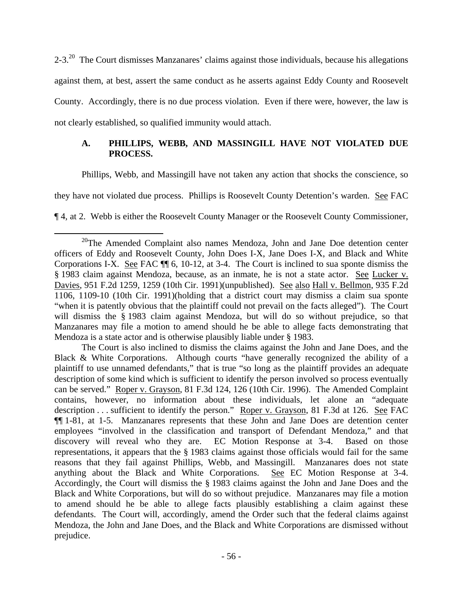2-3.<sup>20</sup> The Court dismisses Manzanares' claims against those individuals, because his allegations against them, at best, assert the same conduct as he asserts against Eddy County and Roosevelt County. Accordingly, there is no due process violation. Even if there were, however, the law is not clearly established, so qualified immunity would attach.

# **A. PHILLIPS, WEBB, AND MASSINGILL HAVE NOT VIOLATED DUE PROCESS.**

Phillips, Webb, and Massingill have not taken any action that shocks the conscience, so

they have not violated due process. Phillips is Roosevelt County Detention's warden. See FAC

¶ 4, at 2. Webb is either the Roosevelt County Manager or the Roosevelt County Commissioner,

 $\overline{a}$  $20$ <sup>20</sup>The Amended Complaint also names Mendoza, John and Jane Doe detention center officers of Eddy and Roosevelt County, John Does I-X, Jane Does I-X, and Black and White Corporations I-X. See FAC ¶¶ 6, 10-12, at 3-4. The Court is inclined to sua sponte dismiss the § 1983 claim against Mendoza, because, as an inmate, he is not a state actor. See Lucker v. Davies, 951 F.2d 1259, 1259 (10th Cir. 1991)(unpublished). See also Hall v. Bellmon, 935 F.2d 1106, 1109-10 (10th Cir. 1991)(holding that a district court may dismiss a claim sua sponte "when it is patently obvious that the plaintiff could not prevail on the facts alleged"). The Court will dismiss the § 1983 claim against Mendoza, but will do so without prejudice, so that Manzanares may file a motion to amend should he be able to allege facts demonstrating that Mendoza is a state actor and is otherwise plausibly liable under § 1983.

The Court is also inclined to dismiss the claims against the John and Jane Does, and the Black & White Corporations. Although courts "have generally recognized the ability of a plaintiff to use unnamed defendants," that is true "so long as the plaintiff provides an adequate description of some kind which is sufficient to identify the person involved so process eventually can be served." Roper v. Grayson, 81 F.3d 124, 126 (10th Cir. 1996). The Amended Complaint contains, however, no information about these individuals, let alone an "adequate description . . . sufficient to identify the person." Roper v. Grayson, 81 F.3d at 126. See FAC ¶¶ 1-81, at 1-5. Manzanares represents that these John and Jane Does are detention center employees "involved in the classification and transport of Defendant Mendoza," and that discovery will reveal who they are. EC Motion Response at 3-4. Based on those representations, it appears that the § 1983 claims against those officials would fail for the same reasons that they fail against Phillips, Webb, and Massingill. Manzanares does not state anything about the Black and White Corporations. See EC Motion Response at 3-4. Accordingly, the Court will dismiss the § 1983 claims against the John and Jane Does and the Black and White Corporations, but will do so without prejudice. Manzanares may file a motion to amend should he be able to allege facts plausibly establishing a claim against these defendants. The Court will, accordingly, amend the Order such that the federal claims against Mendoza, the John and Jane Does, and the Black and White Corporations are dismissed without prejudice.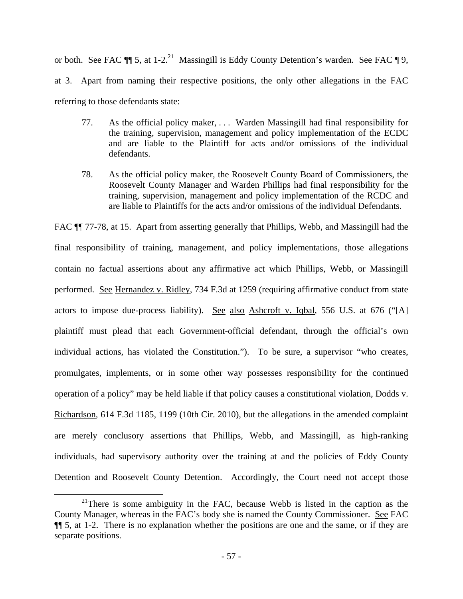or both. See FAC  $\P$  5, at 1-2.<sup>21</sup> Massingill is Eddy County Detention's warden. See FAC  $\P$  9, at 3. Apart from naming their respective positions, the only other allegations in the FAC referring to those defendants state:

- 77. As the official policy maker, . . . Warden Massingill had final responsibility for the training, supervision, management and policy implementation of the ECDC and are liable to the Plaintiff for acts and/or omissions of the individual defendants.
- 78. As the official policy maker, the Roosevelt County Board of Commissioners, the Roosevelt County Manager and Warden Phillips had final responsibility for the training, supervision, management and policy implementation of the RCDC and are liable to Plaintiffs for the acts and/or omissions of the individual Defendants.

FAC  $\P$  77-78, at 15. Apart from asserting generally that Phillips, Webb, and Massingill had the final responsibility of training, management, and policy implementations, those allegations contain no factual assertions about any affirmative act which Phillips, Webb, or Massingill performed. See Hernandez v. Ridley, 734 F.3d at 1259 (requiring affirmative conduct from state actors to impose due-process liability). See also Ashcroft v. Iqbal, 556 U.S. at 676 ("[A] plaintiff must plead that each Government-official defendant, through the official's own individual actions, has violated the Constitution."). To be sure, a supervisor "who creates, promulgates, implements, or in some other way possesses responsibility for the continued operation of a policy" may be held liable if that policy causes a constitutional violation, Dodds v. Richardson, 614 F.3d 1185, 1199 (10th Cir. 2010), but the allegations in the amended complaint are merely conclusory assertions that Phillips, Webb, and Massingill, as high-ranking individuals, had supervisory authority over the training at and the policies of Eddy County Detention and Roosevelt County Detention. Accordingly, the Court need not accept those

 $21$ There is some ambiguity in the FAC, because Webb is listed in the caption as the County Manager, whereas in the FAC's body she is named the County Commissioner. See FAC ¶¶ 5, at 1-2. There is no explanation whether the positions are one and the same, or if they are separate positions.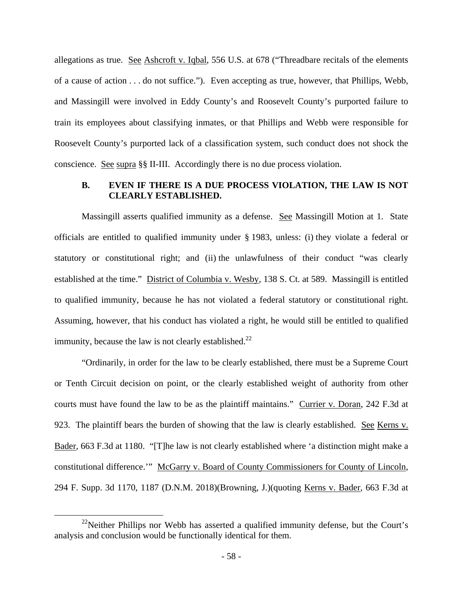allegations as true. See Ashcroft v. Iqbal, 556 U.S. at 678 ("Threadbare recitals of the elements of a cause of action . . . do not suffice."). Even accepting as true, however, that Phillips, Webb, and Massingill were involved in Eddy County's and Roosevelt County's purported failure to train its employees about classifying inmates, or that Phillips and Webb were responsible for Roosevelt County's purported lack of a classification system, such conduct does not shock the conscience. See supra §§ II-III. Accordingly there is no due process violation.

# **B. EVEN IF THERE IS A DUE PROCESS VIOLATION, THE LAW IS NOT CLEARLY ESTABLISHED.**

Massingill asserts qualified immunity as a defense. See Massingill Motion at 1. State officials are entitled to qualified immunity under § 1983, unless: (i) they violate a federal or statutory or constitutional right; and (ii) the unlawfulness of their conduct "was clearly established at the time." District of Columbia v. Wesby, 138 S. Ct. at 589. Massingill is entitled to qualified immunity, because he has not violated a federal statutory or constitutional right. Assuming, however, that his conduct has violated a right, he would still be entitled to qualified immunity, because the law is not clearly established.<sup>22</sup>

"Ordinarily, in order for the law to be clearly established, there must be a Supreme Court or Tenth Circuit decision on point, or the clearly established weight of authority from other courts must have found the law to be as the plaintiff maintains." Currier v. Doran, 242 F.3d at 923. The plaintiff bears the burden of showing that the law is clearly established. See Kerns v. Bader, 663 F.3d at 1180. "[T]he law is not clearly established where 'a distinction might make a constitutional difference.'" McGarry v. Board of County Commissioners for County of Lincoln, 294 F. Supp. 3d 1170, 1187 (D.N.M. 2018)(Browning, J.)(quoting Kerns v. Bader, 663 F.3d at

 $22$ Neither Phillips nor Webb has asserted a qualified immunity defense, but the Court's analysis and conclusion would be functionally identical for them.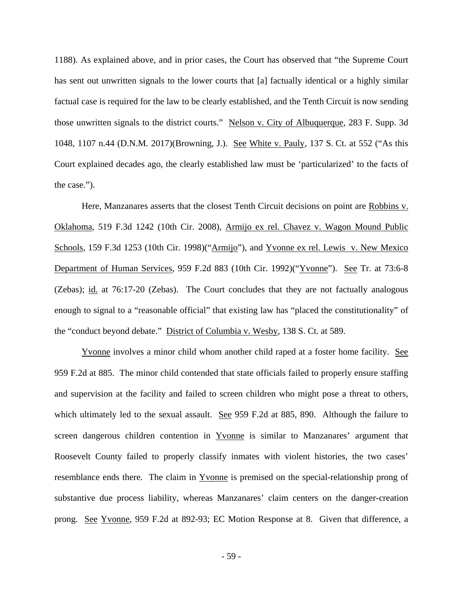1188). As explained above, and in prior cases, the Court has observed that "the Supreme Court has sent out unwritten signals to the lower courts that [a] factually identical or a highly similar factual case is required for the law to be clearly established, and the Tenth Circuit is now sending those unwritten signals to the district courts." Nelson v. City of Albuquerque, 283 F. Supp. 3d 1048, 1107 n.44 (D.N.M. 2017)(Browning, J.). See White v. Pauly, 137 S. Ct. at 552 ("As this Court explained decades ago, the clearly established law must be 'particularized' to the facts of the case.").

Here, Manzanares asserts that the closest Tenth Circuit decisions on point are Robbins v. Oklahoma, 519 F.3d 1242 (10th Cir. 2008), Armijo ex rel. Chavez v. Wagon Mound Public Schools, 159 F.3d 1253 (10th Cir. 1998)("Armijo"), and Yvonne ex rel. Lewis v. New Mexico Department of Human Services, 959 F.2d 883 (10th Cir. 1992)("Yvonne"). See Tr. at 73:6-8 (Zebas); id. at 76:17-20 (Zebas). The Court concludes that they are not factually analogous enough to signal to a "reasonable official" that existing law has "placed the constitutionality" of the "conduct beyond debate." District of Columbia v. Wesby, 138 S. Ct. at 589.

Yvonne involves a minor child whom another child raped at a foster home facility. See 959 F.2d at 885. The minor child contended that state officials failed to properly ensure staffing and supervision at the facility and failed to screen children who might pose a threat to others, which ultimately led to the sexual assault. See 959 F.2d at 885, 890. Although the failure to screen dangerous children contention in Yvonne is similar to Manzanares' argument that Roosevelt County failed to properly classify inmates with violent histories, the two cases' resemblance ends there. The claim in Yvonne is premised on the special-relationship prong of substantive due process liability, whereas Manzanares' claim centers on the danger-creation prong. See Yvonne, 959 F.2d at 892-93; EC Motion Response at 8. Given that difference, a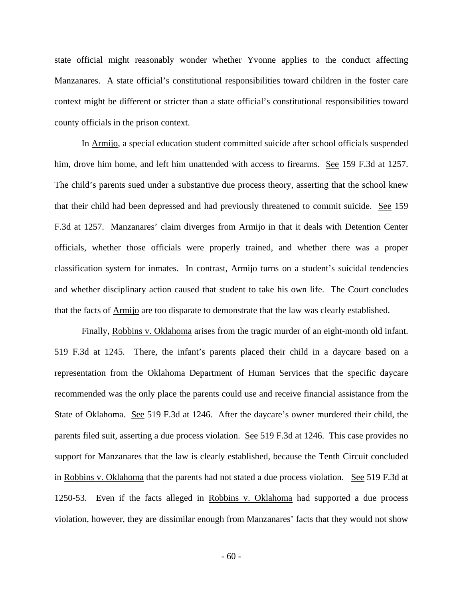state official might reasonably wonder whether Yvonne applies to the conduct affecting Manzanares. A state official's constitutional responsibilities toward children in the foster care context might be different or stricter than a state official's constitutional responsibilities toward county officials in the prison context.

In Armijo, a special education student committed suicide after school officials suspended him, drove him home, and left him unattended with access to firearms. See 159 F.3d at 1257. The child's parents sued under a substantive due process theory, asserting that the school knew that their child had been depressed and had previously threatened to commit suicide. See 159 F.3d at 1257. Manzanares' claim diverges from Armijo in that it deals with Detention Center officials, whether those officials were properly trained, and whether there was a proper classification system for inmates. In contrast, Armijo turns on a student's suicidal tendencies and whether disciplinary action caused that student to take his own life. The Court concludes that the facts of Armijo are too disparate to demonstrate that the law was clearly established.

Finally, Robbins v. Oklahoma arises from the tragic murder of an eight-month old infant. 519 F.3d at 1245. There, the infant's parents placed their child in a daycare based on a representation from the Oklahoma Department of Human Services that the specific daycare recommended was the only place the parents could use and receive financial assistance from the State of Oklahoma. See 519 F.3d at 1246. After the daycare's owner murdered their child, the parents filed suit, asserting a due process violation. See 519 F.3d at 1246. This case provides no support for Manzanares that the law is clearly established, because the Tenth Circuit concluded in Robbins v. Oklahoma that the parents had not stated a due process violation. See 519 F.3d at 1250-53. Even if the facts alleged in Robbins v. Oklahoma had supported a due process violation, however, they are dissimilar enough from Manzanares' facts that they would not show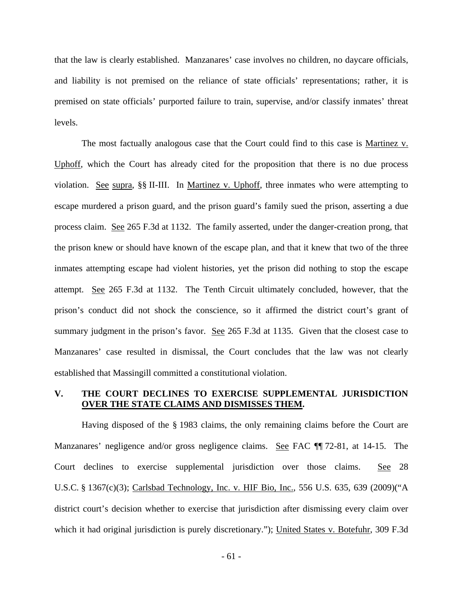that the law is clearly established. Manzanares' case involves no children, no daycare officials, and liability is not premised on the reliance of state officials' representations; rather, it is premised on state officials' purported failure to train, supervise, and/or classify inmates' threat levels.

The most factually analogous case that the Court could find to this case is Martinez v. Uphoff, which the Court has already cited for the proposition that there is no due process violation. See supra, §§ II-III. In Martinez v. Uphoff, three inmates who were attempting to escape murdered a prison guard, and the prison guard's family sued the prison, asserting a due process claim. See 265 F.3d at 1132. The family asserted, under the danger-creation prong, that the prison knew or should have known of the escape plan, and that it knew that two of the three inmates attempting escape had violent histories, yet the prison did nothing to stop the escape attempt. See 265 F.3d at 1132. The Tenth Circuit ultimately concluded, however, that the prison's conduct did not shock the conscience, so it affirmed the district court's grant of summary judgment in the prison's favor. See 265 F.3d at 1135. Given that the closest case to Manzanares' case resulted in dismissal, the Court concludes that the law was not clearly established that Massingill committed a constitutional violation.

## **V. THE COURT DECLINES TO EXERCISE SUPPLEMENTAL JURISDICTION OVER THE STATE CLAIMS AND DISMISSES THEM.**

Having disposed of the § 1983 claims, the only remaining claims before the Court are Manzanares' negligence and/or gross negligence claims. See FAC ¶¶ 72-81, at 14-15. The Court declines to exercise supplemental jurisdiction over those claims. See 28 U.S.C. § 1367(c)(3); Carlsbad Technology, Inc. v. HIF Bio, Inc., 556 U.S. 635, 639 (2009)("A district court's decision whether to exercise that jurisdiction after dismissing every claim over which it had original jurisdiction is purely discretionary."); United States v. Botefuhr, 309 F.3d